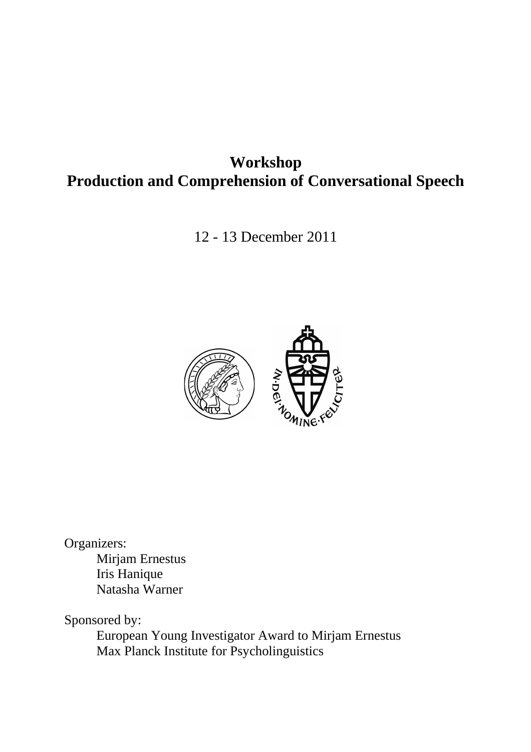# **Workshop Production and Comprehension of Conversational Speech**

12 - 13 December 2011



Organizers:

Mirjam Ernestus Iris Hanique Natasha Warner

Sponsored by:

European Young Investigator Award to Mirjam Ernestus Max Planck Institute for Psycholinguistics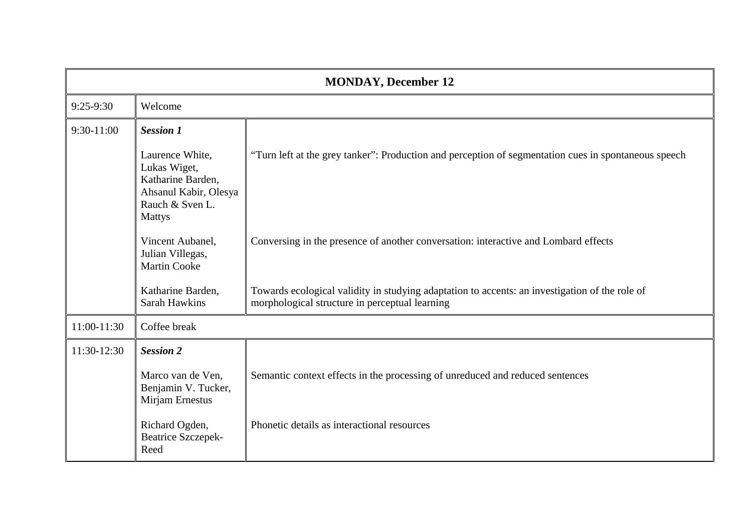| <b>MONDAY, December 12</b> |                                                                                                                   |                                                                                                                                                  |  |  |  |  |  |
|----------------------------|-------------------------------------------------------------------------------------------------------------------|--------------------------------------------------------------------------------------------------------------------------------------------------|--|--|--|--|--|
| $9:25-9:30$                | Welcome                                                                                                           |                                                                                                                                                  |  |  |  |  |  |
| $9:30-11:00$               | <b>Session 1</b>                                                                                                  |                                                                                                                                                  |  |  |  |  |  |
|                            | Laurence White,<br>Lukas Wiget,<br>Katharine Barden,<br>Ahsanul Kabir, Olesya<br>Rauch & Sven L.<br><b>Mattys</b> | "Turn left at the grey tanker": Production and perception of segmentation cues in spontaneous speech                                             |  |  |  |  |  |
|                            | Vincent Aubanel,<br>Julian Villegas,<br><b>Martin Cooke</b>                                                       | Conversing in the presence of another conversation: interactive and Lombard effects                                                              |  |  |  |  |  |
|                            | Katharine Barden,<br>Sarah Hawkins                                                                                | Towards ecological validity in studying adaptation to accents: an investigation of the role of<br>morphological structure in perceptual learning |  |  |  |  |  |
| 11:00-11:30                | Coffee break                                                                                                      |                                                                                                                                                  |  |  |  |  |  |
| 11:30-12:30                | <b>Session 2</b>                                                                                                  |                                                                                                                                                  |  |  |  |  |  |
|                            | Marco van de Ven,<br>Benjamin V. Tucker,<br>Mirjam Ernestus                                                       | Semantic context effects in the processing of unreduced and reduced sentences                                                                    |  |  |  |  |  |
|                            | Richard Ogden,<br><b>Beatrice Szczepek-</b><br>Reed                                                               | Phonetic details as interactional resources                                                                                                      |  |  |  |  |  |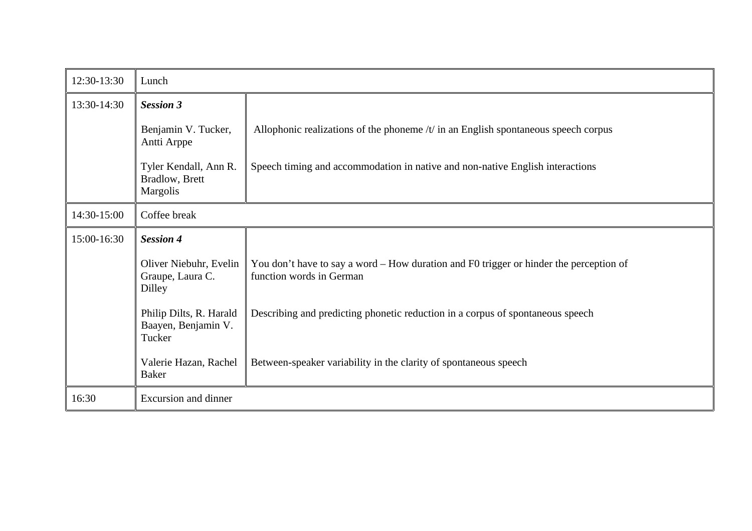| 12:30-13:30 | Lunch                                                       |                                                                                                                    |  |  |  |  |  |
|-------------|-------------------------------------------------------------|--------------------------------------------------------------------------------------------------------------------|--|--|--|--|--|
| 13:30-14:30 | <b>Session 3</b>                                            |                                                                                                                    |  |  |  |  |  |
|             | Benjamin V. Tucker,<br>Antti Arppe                          | Allophonic realizations of the phoneme $/t$ in an English spontaneous speech corpus                                |  |  |  |  |  |
|             | Tyler Kendall, Ann R.<br>Bradlow, Brett<br><b>Margolis</b>  | Speech timing and accommodation in native and non-native English interactions                                      |  |  |  |  |  |
| 14:30-15:00 | Coffee break                                                |                                                                                                                    |  |  |  |  |  |
| 15:00-16:30 | <b>Session 4</b>                                            |                                                                                                                    |  |  |  |  |  |
|             | Oliver Niebuhr, Evelin<br>Graupe, Laura C.<br><b>Dilley</b> | You don't have to say a word - How duration and F0 trigger or hinder the perception of<br>function words in German |  |  |  |  |  |
|             | Philip Dilts, R. Harald<br>Baayen, Benjamin V.<br>Tucker    | Describing and predicting phonetic reduction in a corpus of spontaneous speech                                     |  |  |  |  |  |
|             | Valerie Hazan, Rachel<br><b>Baker</b>                       | Between-speaker variability in the clarity of spontaneous speech                                                   |  |  |  |  |  |
| 16:30       | <b>Excursion and dinner</b>                                 |                                                                                                                    |  |  |  |  |  |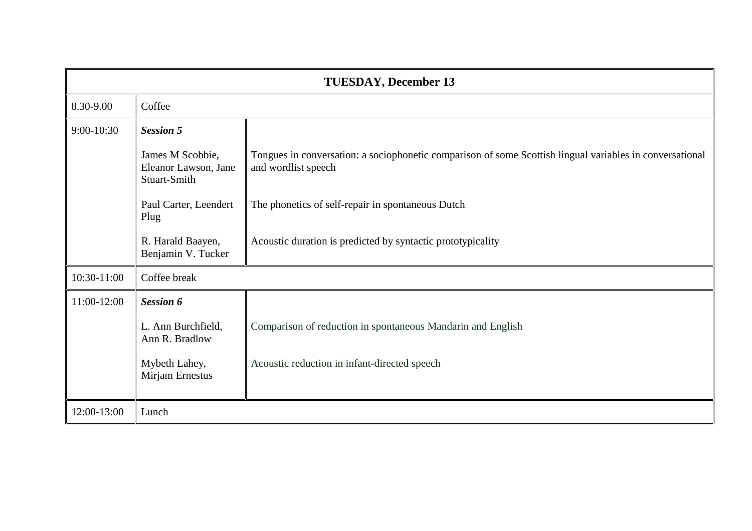| <b>TUESDAY, December 13</b> |                                                          |                                                                                                                                 |  |  |  |  |  |
|-----------------------------|----------------------------------------------------------|---------------------------------------------------------------------------------------------------------------------------------|--|--|--|--|--|
| 8.30-9.00                   | Coffee                                                   |                                                                                                                                 |  |  |  |  |  |
| 9:00-10:30                  | <b>Session 5</b>                                         |                                                                                                                                 |  |  |  |  |  |
|                             | James M Scobbie,<br>Eleanor Lawson, Jane<br>Stuart-Smith | Tongues in conversation: a sociophonetic comparison of some Scottish lingual variables in conversational<br>and wordlist speech |  |  |  |  |  |
|                             | Paul Carter, Leendert<br>Plug                            | The phonetics of self-repair in spontaneous Dutch                                                                               |  |  |  |  |  |
|                             | R. Harald Baayen,<br>Benjamin V. Tucker                  | Acoustic duration is predicted by syntactic prototypicality                                                                     |  |  |  |  |  |
| 10:30-11:00                 | Coffee break                                             |                                                                                                                                 |  |  |  |  |  |
| 11:00-12:00                 | <b>Session 6</b>                                         |                                                                                                                                 |  |  |  |  |  |
|                             | L. Ann Burchfield,<br>Ann R. Bradlow                     | Comparison of reduction in spontaneous Mandarin and English                                                                     |  |  |  |  |  |
|                             | Mybeth Lahey,<br>Mirjam Ernestus                         | Acoustic reduction in infant-directed speech                                                                                    |  |  |  |  |  |
| 12:00-13:00                 | Lunch                                                    |                                                                                                                                 |  |  |  |  |  |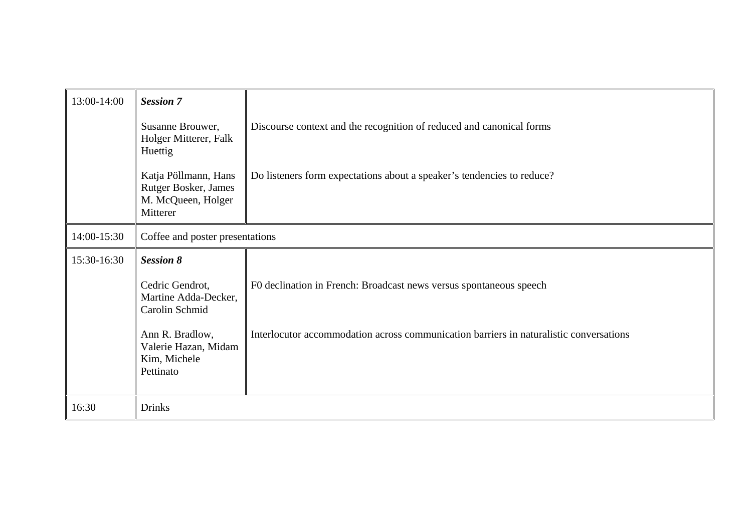| 13:00-14:00 | <b>Session 7</b>                                                               |                                                                                        |  |  |  |  |
|-------------|--------------------------------------------------------------------------------|----------------------------------------------------------------------------------------|--|--|--|--|
|             |                                                                                |                                                                                        |  |  |  |  |
|             | Susanne Brouwer,<br>Holger Mitterer, Falk<br>Huettig                           | Discourse context and the recognition of reduced and canonical forms                   |  |  |  |  |
|             | Katja Pöllmann, Hans<br>Rutger Bosker, James<br>M. McQueen, Holger<br>Mitterer | Do listeners form expectations about a speaker's tendencies to reduce?                 |  |  |  |  |
| 14:00-15:30 | Coffee and poster presentations                                                |                                                                                        |  |  |  |  |
| 15:30-16:30 | <b>Session 8</b>                                                               |                                                                                        |  |  |  |  |
|             | Cedric Gendrot,<br>Martine Adda-Decker,<br>Carolin Schmid                      | F0 declination in French: Broadcast news versus spontaneous speech                     |  |  |  |  |
|             | Ann R. Bradlow,<br>Valerie Hazan, Midam<br>Kim, Michele<br>Pettinato           | Interlocutor accommodation across communication barriers in naturalistic conversations |  |  |  |  |
| 16:30       | <b>Drinks</b>                                                                  |                                                                                        |  |  |  |  |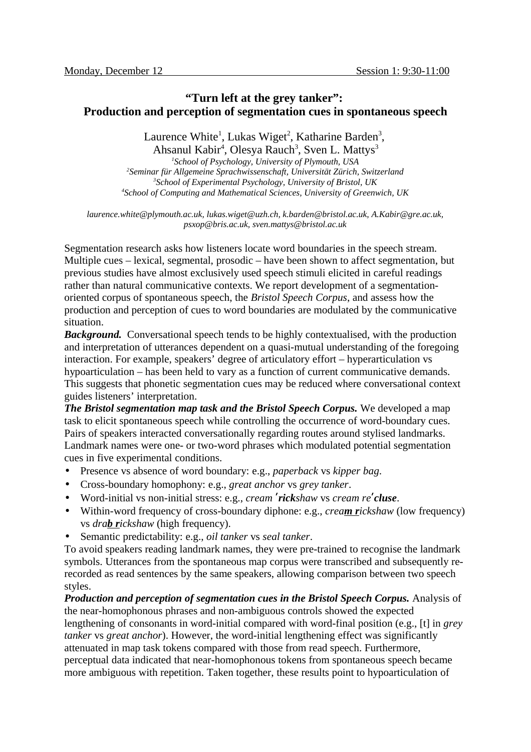# **"Turn left at the grey tanker": Production and perception of segmentation cues in spontaneous speech**

Laurence White<sup>1</sup>, Lukas Wiget<sup>2</sup>, Katharine Barden<sup>3</sup>,

Ahsanul Kabir<sup>4</sup>, Olesya Rauch<sup>3</sup>, Sven L. Mattys<sup>3</sup> *School of Psychology, University of Plymouth, USA Seminar für Allgemeine Sprachwissenschaft, Universität Zürich, Switzerland School of Experimental Psychology, University of Bristol, UK School of Computing and Mathematical Sciences, University of Greenwich, UK*

*laurence.white@plymouth.ac.uk, lukas.wiget@uzh.ch, k.barden@bristol.ac.uk, A.Kabir@gre.ac.uk, psxop@bris.ac.uk, sven.mattys@bristol.ac.uk*

Segmentation research asks how listeners locate word boundaries in the speech stream. Multiple cues – lexical, segmental, prosodic – have been shown to affect segmentation, but previous studies have almost exclusively used speech stimuli elicited in careful readings rather than natural communicative contexts. We report development of a segmentationoriented corpus of spontaneous speech, the *Bristol Speech Corpus*, and assess how the production and perception of cues to word boundaries are modulated by the communicative situation.

*Background.* Conversational speech tends to be highly contextualised, with the production and interpretation of utterances dependent on a quasi-mutual understanding of the foregoing interaction. For example, speakers' degree of articulatory effort – hyperarticulation vs hypoarticulation – has been held to vary as a function of current communicative demands. This suggests that phonetic segmentation cues may be reduced where conversational context guides listeners' interpretation.

*The Bristol segmentation map task and the Bristol Speech Corpus.* We developed a map task to elicit spontaneous speech while controlling the occurrence of word-boundary cues. Pairs of speakers interacted conversationally regarding routes around stylised landmarks. Landmark names were one- or two-word phrases which modulated potential segmentation cues in five experimental conditions.

- Presence vs absence of word boundary: e.g., *paperback* vs *kipper bag*.
- Cross-boundary homophony: e.g., *great anchor* vs *grey tanker*.
- Word-initial vs non-initial stress: e.g., *cream ʹrickshaw* vs *cream reʹcluse*.
- Within-word frequency of cross-boundary diphone: e.g., *cream rickshaw* (low frequency) vs *drab rickshaw* (high frequency).
- Semantic predictability: e.g., *oil tanker* vs *seal tanker*.

To avoid speakers reading landmark names, they were pre-trained to recognise the landmark symbols. Utterances from the spontaneous map corpus were transcribed and subsequently rerecorded as read sentences by the same speakers, allowing comparison between two speech styles.

*Production and perception of segmentation cues in the Bristol Speech Corpus.* Analysis of the near-homophonous phrases and non-ambiguous controls showed the expected lengthening of consonants in word-initial compared with word-final position (e.g., [t] in *grey tanker* vs *great anchor*). However, the word-initial lengthening effect was significantly attenuated in map task tokens compared with those from read speech. Furthermore, perceptual data indicated that near-homophonous tokens from spontaneous speech became more ambiguous with repetition. Taken together, these results point to hypoarticulation of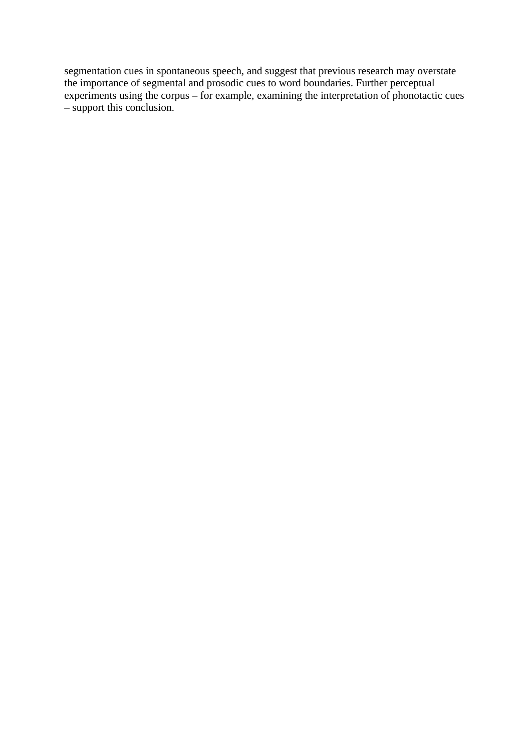segmentation cues in spontaneous speech, and suggest that previous research may overstate the importance of segmental and prosodic cues to word boundaries. Further perceptual experiments using the corpus – for example, examining the interpretation of phonotactic cues – support this conclusion.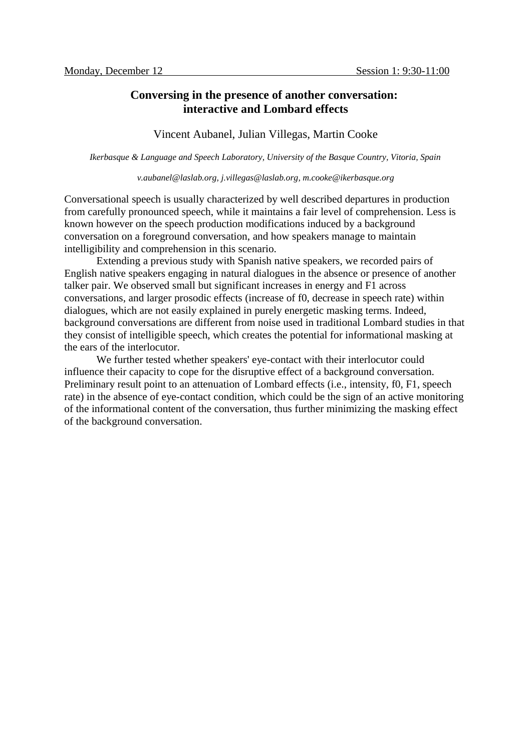### **Conversing in the presence of another conversation: interactive and Lombard effects**

#### Vincent Aubanel, Julian Villegas, Martin Cooke

*Ikerbasque & Language and Speech Laboratory, University of the Basque Country, Vitoria, Spain*

#### *v.aubanel@laslab.org, j.villegas@laslab.org, m.cooke@ikerbasque.org*

Conversational speech is usually characterized by well described departures in production from carefully pronounced speech, while it maintains a fair level of comprehension. Less is known however on the speech production modifications induced by a background conversation on a foreground conversation, and how speakers manage to maintain intelligibility and comprehension in this scenario.

Extending a previous study with Spanish native speakers, we recorded pairs of English native speakers engaging in natural dialogues in the absence or presence of another talker pair. We observed small but significant increases in energy and F1 across conversations, and larger prosodic effects (increase of f0, decrease in speech rate) within dialogues, which are not easily explained in purely energetic masking terms. Indeed, background conversations are different from noise used in traditional Lombard studies in that they consist of intelligible speech, which creates the potential for informational masking at the ears of the interlocutor.

We further tested whether speakers' eye-contact with their interlocutor could influence their capacity to cope for the disruptive effect of a background conversation. Preliminary result point to an attenuation of Lombard effects (i.e., intensity, f0, F1, speech rate) in the absence of eye-contact condition, which could be the sign of an active monitoring of the informational content of the conversation, thus further minimizing the masking effect of the background conversation.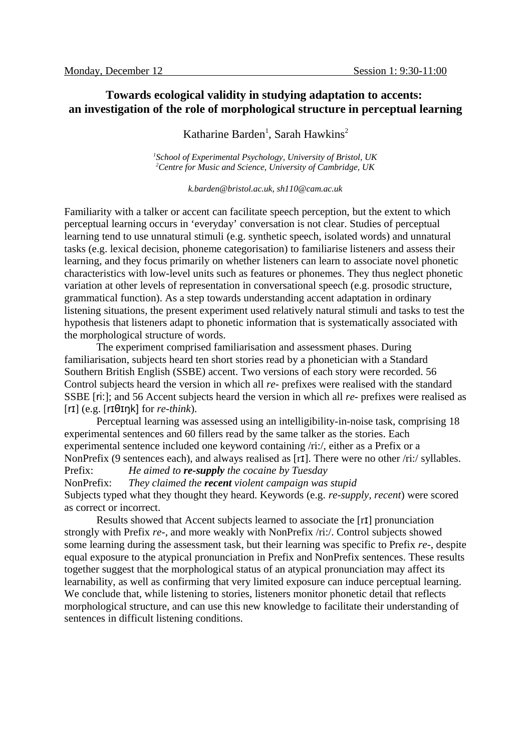# **Towards ecological validity in studying adaptation to accents: an investigation of the role of morphological structure in perceptual learning**

# Katharine Barden<sup>1</sup>, Sarah Hawkins<sup>2</sup>

*1 School of Experimental Psychology, University of Bristol, UK <sup>2</sup>Centre for Music and Science, University of Cambridge, UK*

*k.barden@bristol.ac.uk, sh110@cam.ac.uk*

Familiarity with a talker or accent can facilitate speech perception, but the extent to which perceptual learning occurs in 'everyday' conversation is not clear. Studies of perceptual learning tend to use unnatural stimuli (e.g. synthetic speech, isolated words) and unnatural tasks (e.g. lexical decision, phoneme categorisation) to familiarise listeners and assess their learning, and they focus primarily on whether listeners can learn to associate novel phonetic characteristics with low-level units such as features or phonemes. They thus neglect phonetic variation at other levels of representation in conversational speech (e.g. prosodic structure, grammatical function). As a step towards understanding accent adaptation in ordinary listening situations, the present experiment used relatively natural stimuli and tasks to test the hypothesis that listeners adapt to phonetic information that is systematically associated with the morphological structure of words.

The experiment comprised familiarisation and assessment phases. During familiarisation, subjects heard ten short stories read by a phonetician with a Standard Southern British English (SSBE) accent. Two versions of each story were recorded. 56 Control subjects heard the version in which all *re-* prefixes were realised with the standard SSBE [ri:]; and 56 Accent subjects heard the version in which all *re-* prefixes were realised as  $[rI]$  (e.g.  $[rI\Theta I\eta k]$  for *re-think*).

Perceptual learning was assessed using an intelligibility-in-noise task, comprising 18 experimental sentences and 60 fillers read by the same talker as the stories. Each experimental sentence included one keyword containing /ri:/, either as a Prefix or a NonPrefix (9 sentences each), and always realised as [rɪ]. There were no other /ri:/ syllables. Prefix: *He aimed to re-supply the cocaine by Tuesday*

NonPrefix: *They claimed the recent violent campaign was stupid* Subjects typed what they thought they heard. Keywords (e.g. *re-supply, recent*) were scored as correct or incorrect.

Results showed that Accent subjects learned to associate the [rɪ] pronunciation strongly with Prefix *re-*, and more weakly with NonPrefix /ri:/. Control subjects showed some learning during the assessment task, but their learning was specific to Prefix *re-*, despite equal exposure to the atypical pronunciation in Prefix and NonPrefix sentences. These results together suggest that the morphological status of an atypical pronunciation may affect its learnability, as well as confirming that very limited exposure can induce perceptual learning. We conclude that, while listening to stories, listeners monitor phonetic detail that reflects morphological structure, and can use this new knowledge to facilitate their understanding of sentences in difficult listening conditions.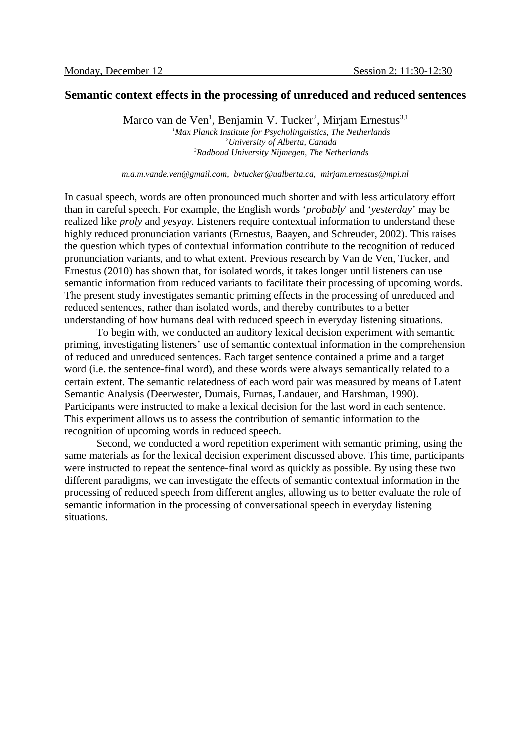### **Semantic context effects in the processing of unreduced and reduced sentences**

Marco van de Ven<sup>1</sup>, Benjamin V. Tucker<sup>2</sup>, Mirjam Ernestus<sup>3,1</sup> *Max Planck Institute for Psycholinguistics, The Netherlands University of Alberta, Canada Radboud University Nijmegen, The Netherlands*

*m.a.m.vande.ven@gmail.com, bvtucker@ualberta.ca, mirjam.ernestus@mpi.nl*

In casual speech, words are often pronounced much shorter and with less articulatory effort than in careful speech. For example, the English words '*probably*' and '*yesterday*' may be realized like *proly* and *yesyay*. Listeners require contextual information to understand these highly reduced pronunciation variants (Ernestus, Baayen, and Schreuder, 2002). This raises the question which types of contextual information contribute to the recognition of reduced pronunciation variants, and to what extent. Previous research by Van de Ven, Tucker, and Ernestus (2010) has shown that, for isolated words, it takes longer until listeners can use semantic information from reduced variants to facilitate their processing of upcoming words. The present study investigates semantic priming effects in the processing of unreduced and reduced sentences, rather than isolated words, and thereby contributes to a better understanding of how humans deal with reduced speech in everyday listening situations.

To begin with, we conducted an auditory lexical decision experiment with semantic priming, investigating listeners' use of semantic contextual information in the comprehension of reduced and unreduced sentences. Each target sentence contained a prime and a target word (i.e. the sentence-final word), and these words were always semantically related to a certain extent. The semantic relatedness of each word pair was measured by means of Latent Semantic Analysis (Deerwester, Dumais, Furnas, Landauer, and Harshman, 1990). Participants were instructed to make a lexical decision for the last word in each sentence. This experiment allows us to assess the contribution of semantic information to the recognition of upcoming words in reduced speech.

Second, we conducted a word repetition experiment with semantic priming, using the same materials as for the lexical decision experiment discussed above. This time, participants were instructed to repeat the sentence-final word as quickly as possible. By using these two different paradigms, we can investigate the effects of semantic contextual information in the processing of reduced speech from different angles, allowing us to better evaluate the role of semantic information in the processing of conversational speech in everyday listening situations.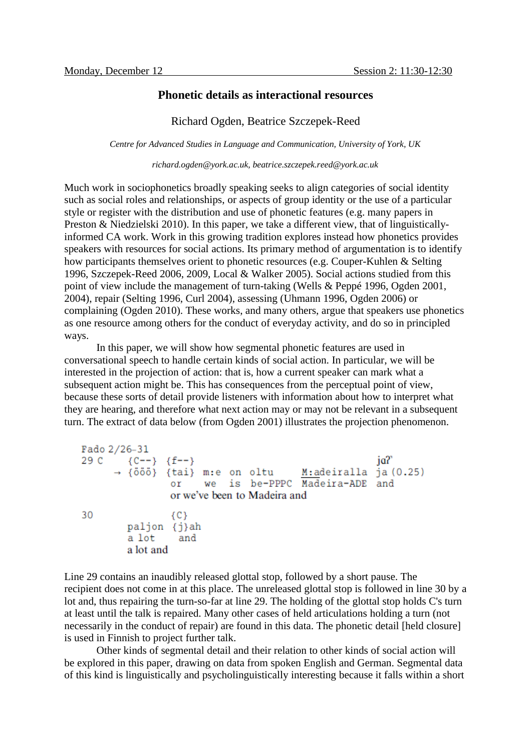### **Phonetic details as interactional resources**

### Richard Ogden, Beatrice Szczepek-Reed

*Centre for Advanced Studies in Language and Communication, University of York, UK*

*richard.ogden@york.ac.uk, beatrice.szczepek.reed@york.ac.uk*

Much work in sociophonetics broadly speaking seeks to align categories of social identity such as social roles and relationships, or aspects of group identity or the use of a particular style or register with the distribution and use of phonetic features (e.g. many papers in Preston & Niedzielski 2010). In this paper, we take a different view, that of linguisticallyinformed CA work. Work in this growing tradition explores instead how phonetics provides speakers with resources for social actions. Its primary method of argumentation is to identify how participants themselves orient to phonetic resources (e.g. Couper-Kuhlen & Selting 1996, Szczepek-Reed 2006, 2009, Local & Walker 2005). Social actions studied from this point of view include the management of turn-taking (Wells & Peppé 1996, Ogden 2001, 2004), repair (Selting 1996, Curl 2004), assessing (Uhmann 1996, Ogden 2006) or complaining (Ogden 2010). These works, and many others, argue that speakers use phonetics as one resource among others for the conduct of everyday activity, and do so in principled ways.

In this paper, we will show how segmental phonetic features are used in conversational speech to handle certain kinds of social action. In particular, we will be interested in the projection of action: that is, how a current speaker can mark what a subsequent action might be. This has consequences from the perceptual point of view, because these sorts of detail provide listeners with information about how to interpret what they are hearing, and therefore what next action may or may not be relevant in a subsequent turn. The extract of data below (from Ogden 2001) illustrates the projection phenomenon.

```
Fado 2/26-31
       (C--) (f--)ia?
29C→ {ööö} {tai} m:e on oltu
                                       M:adeiralla ja (0.25)we is be-PPPC Madeira-ADE and
               \alpha ror we've been to Madeira and
30
               {C}paljon {j}ah
        a lot
                 and
        a lot and
```
Line 29 contains an inaudibly released glottal stop, followed by a short pause. The recipient does not come in at this place. The unreleased glottal stop is followed in line 30 by a lot and, thus repairing the turn-so-far at line 29. The holding of the glottal stop holds C's turn at least until the talk is repaired. Many other cases of held articulations holding a turn (not necessarily in the conduct of repair) are found in this data. The phonetic detail [held closure] is used in Finnish to project further talk.

Other kinds of segmental detail and their relation to other kinds of social action will be explored in this paper, drawing on data from spoken English and German. Segmental data of this kind is linguistically and psycholinguistically interesting because it falls within a short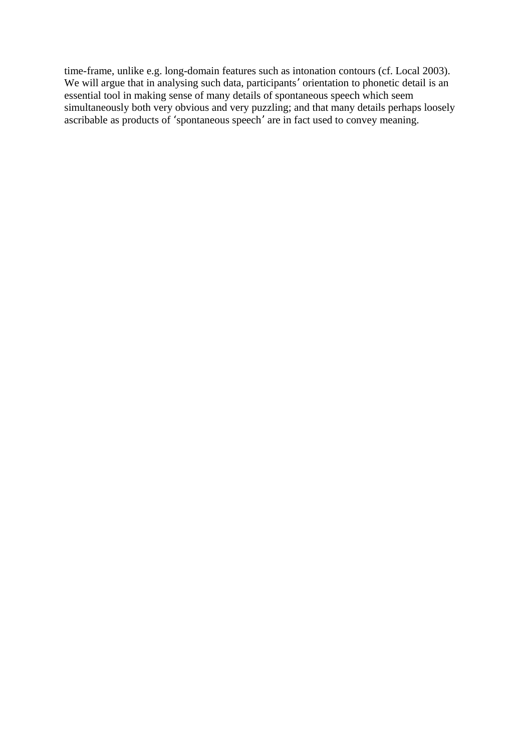time-frame, unlike e.g. long-domain features such as intonation contours (cf. Local 2003). We will argue that in analysing such data, participants' orientation to phonetic detail is an essential tool in making sense of many details of spontaneous speech which seem simultaneously both very obvious and very puzzling; and that many details perhaps loosely ascribable as products of 'spontaneous speech' are in fact used to convey meaning.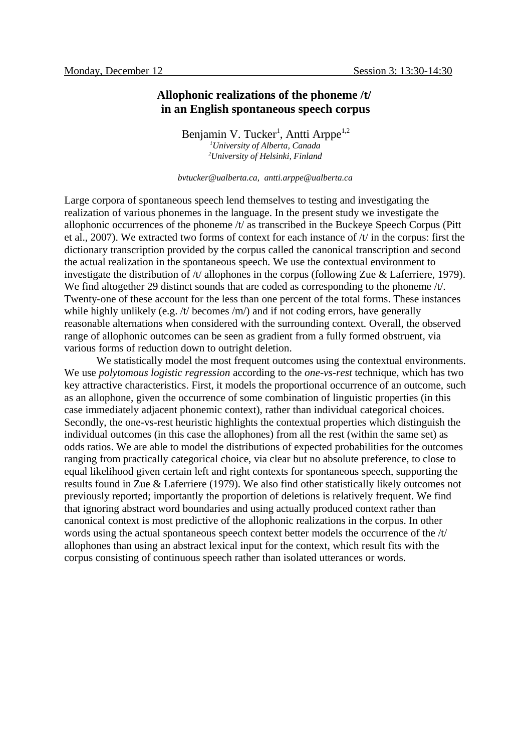### **Allophonic realizations of the phoneme /t/ in an English spontaneous speech corpus**

Benjamin V. Tucker<sup>1</sup>, Antti Arppe<sup>1,2</sup> *<sup>1</sup>University of Alberta, Canada <sup>2</sup>University of Helsinki, Finland*

*bvtucker@ualberta.ca, antti.arppe@ualberta.ca*

Large corpora of spontaneous speech lend themselves to testing and investigating the realization of various phonemes in the language. In the present study we investigate the allophonic occurrences of the phoneme  $/t/$  as transcribed in the Buckeye Speech Corpus (Pitt et al., 2007). We extracted two forms of context for each instance of /t/ in the corpus: first the dictionary transcription provided by the corpus called the canonical transcription and second the actual realization in the spontaneous speech. We use the contextual environment to investigate the distribution of /t/ allophones in the corpus (following Zue & Laferriere, 1979). We find altogether 29 distinct sounds that are coded as corresponding to the phoneme /t/. Twenty-one of these account for the less than one percent of the total forms. These instances while highly unlikely (e.g. /t/ becomes /m/) and if not coding errors, have generally reasonable alternations when considered with the surrounding context. Overall, the observed range of allophonic outcomes can be seen as gradient from a fully formed obstruent, via various forms of reduction down to outright deletion.

We statistically model the most frequent outcomes using the contextual environments. We use *polytomous logistic regression* according to the *one-vs-rest* technique, which has two key attractive characteristics. First, it models the proportional occurrence of an outcome, such as an allophone, given the occurrence of some combination of linguistic properties (in this case immediately adjacent phonemic context), rather than individual categorical choices. Secondly, the one-vs-rest heuristic highlights the contextual properties which distinguish the individual outcomes (in this case the allophones) from all the rest (within the same set) as odds ratios. We are able to model the distributions of expected probabilities for the outcomes ranging from practically categorical choice, via clear but no absolute preference, to close to equal likelihood given certain left and right contexts for spontaneous speech, supporting the results found in Zue & Laferriere (1979). We also find other statistically likely outcomes not previously reported; importantly the proportion of deletions is relatively frequent. We find that ignoring abstract word boundaries and using actually produced context rather than canonical context is most predictive of the allophonic realizations in the corpus. In other words using the actual spontaneous speech context better models the occurrence of the /t/ allophones than using an abstract lexical input for the context, which result fits with the corpus consisting of continuous speech rather than isolated utterances or words.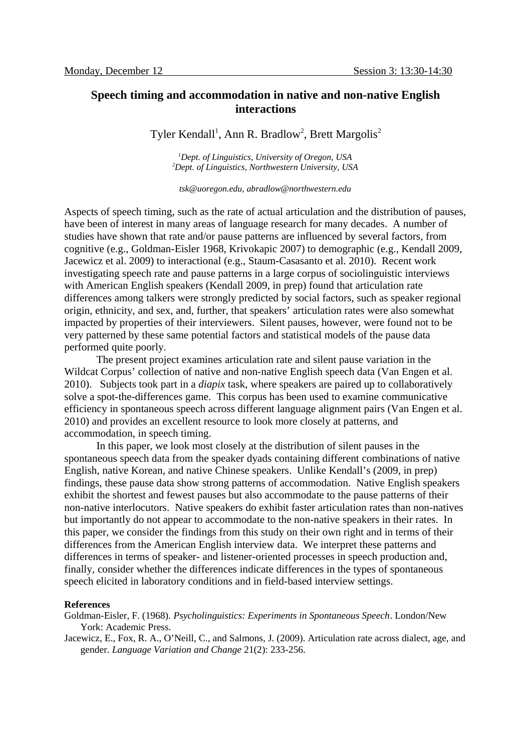### **Speech timing and accommodation in native and non-native English interactions**

Tyler Kendall<sup>1</sup>, Ann R. Bradlow<sup>2</sup>, Brett Margolis<sup>2</sup>

*<sup>1</sup>Dept. of Linguistics, University of Oregon, USA <sup>2</sup>Dept. of Linguistics, Northwestern University, USA*

*tsk@uoregon.edu, abradlow@northwestern.edu*

Aspects of speech timing, such as the rate of actual articulation and the distribution of pauses, have been of interest in many areas of language research for many decades. A number of studies have shown that rate and/or pause patterns are influenced by several factors, from cognitive (e.g., Goldman-Eisler 1968, Krivokapic 2007) to demographic (e.g., Kendall 2009, Jacewicz et al. 2009) to interactional (e.g., Staum-Casasanto et al. 2010). Recent work investigating speech rate and pause patterns in a large corpus of sociolinguistic interviews with American English speakers (Kendall 2009, in prep) found that articulation rate differences among talkers were strongly predicted by social factors, such as speaker regional origin, ethnicity, and sex, and, further, that speakers' articulation rates were also somewhat impacted by properties of their interviewers. Silent pauses, however, were found not to be very patterned by these same potential factors and statistical models of the pause data performed quite poorly.

The present project examines articulation rate and silent pause variation in the Wildcat Corpus' collection of native and non-native English speech data (Van Engen et al. 2010). Subjects took part in a *diapix* task, where speakers are paired up to collaboratively solve a spot-the-differences game. This corpus has been used to examine communicative efficiency in spontaneous speech across different language alignment pairs (Van Engen et al. 2010) and provides an excellent resource to look more closely at patterns, and accommodation, in speech timing.

In this paper, we look most closely at the distribution of silent pauses in the spontaneous speech data from the speaker dyads containing different combinations of native English, native Korean, and native Chinese speakers. Unlike Kendall's (2009, in prep) findings, these pause data show strong patterns of accommodation. Native English speakers exhibit the shortest and fewest pauses but also accommodate to the pause patterns of their non-native interlocutors. Native speakers do exhibit faster articulation rates than non-natives but importantly do not appear to accommodate to the non-native speakers in their rates. In this paper, we consider the findings from this study on their own right and in terms of their differences from the American English interview data. We interpret these patterns and differences in terms of speaker- and listener-oriented processes in speech production and, finally, consider whether the differences indicate differences in the types of spontaneous speech elicited in laboratory conditions and in field-based interview settings.

#### **References**

Goldman-Eisler, F. (1968). *Psycholinguistics: Experiments in Spontaneous Speech*. London/New York: Academic Press.

Jacewicz, E., Fox, R. A., O'Neill, C., and Salmons, J. (2009). Articulation rate across dialect, age, and gender. *Language Variation and Change* 21(2): 233-256.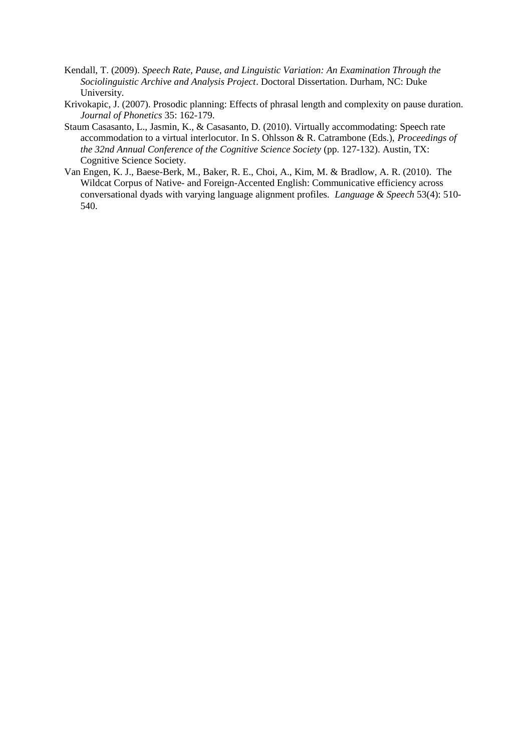- Kendall, T. (2009). *Speech Rate, Pause, and Linguistic Variation: An Examination Through the Sociolinguistic Archive and Analysis Project*. Doctoral Dissertation. Durham, NC: Duke University.
- Krivokapic, J. (2007). Prosodic planning: Effects of phrasal length and complexity on pause duration. *Journal of Phonetics* 35: 162-179.
- Staum Casasanto, L., Jasmin, K., & Casasanto, D. (2010). Virtually accommodating: Speech rate accommodation to a virtual interlocutor. In S. Ohlsson & R. Catrambone (Eds.), *Proceedings of the 32nd Annual Conference of the Cognitive Science Society* (pp. 127-132). Austin, TX: Cognitive Science Society.
- Van Engen, K. J., Baese-Berk, M., Baker, R. E., Choi, A., Kim, M. & Bradlow, A. R. (2010). The Wildcat Corpus of Native- and Foreign-Accented English: Communicative efficiency across conversational dyads with varying language alignment profiles. *Language & Speech* 53(4): 510- 540.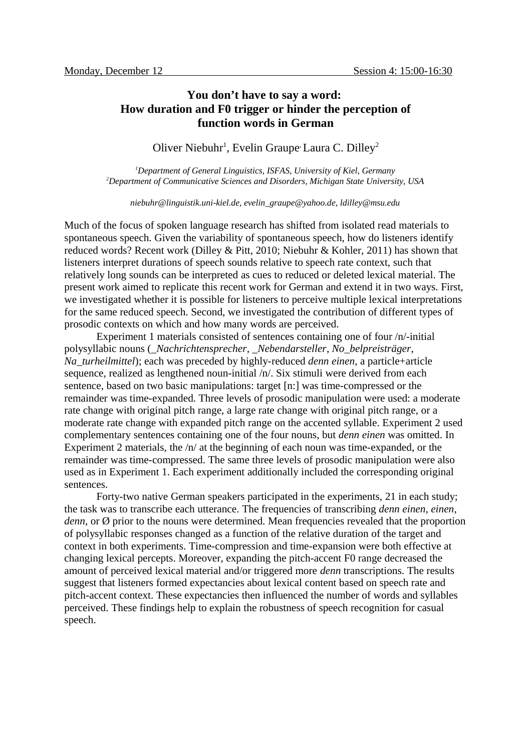# **You don't have to say a word: How duration and F0 trigger or hinder the perception of function words in German**

Oliver Niebuhr<sup>1</sup>, Evelin Graupe<sup>,</sup> Laura C. Dilley<sup>2</sup>

*<sup>1</sup>Department of General Linguistics, ISFAS, University of Kiel, Germany <sup>2</sup>Department of Communicative Sciences and Disorders, Michigan State University, USA*

*niebuhr@linguistik.uni-kiel.de, evelin\_graupe@yahoo.de, ldilley@msu.edu*

Much of the focus of spoken language research has shifted from isolated read materials to spontaneous speech. Given the variability of spontaneous speech, how do listeners identify reduced words? Recent work (Dilley & Pitt, 2010; Niebuhr & Kohler, 2011) has shown that listeners interpret durations of speech sounds relative to speech rate context, such that relatively long sounds can be interpreted as cues to reduced or deleted lexical material. The present work aimed to replicate this recent work for German and extend it in two ways. First, we investigated whether it is possible for listeners to perceive multiple lexical interpretations for the same reduced speech. Second, we investigated the contribution of different types of prosodic contexts on which and how many words are perceived.

Experiment 1 materials consisted of sentences containing one of four /n/-initial polysyllabic nouns (\_*Nachrichtensprecher*, \_*Nebendarsteller*, *No*\_*belpreisträger*, *Na*\_*turheilmittel*); each was preceded by highly-reduced *denn einen*, a particle+article sequence, realized as lengthened noun-initial /n/. Six stimuli were derived from each sentence, based on two basic manipulations: target [n:] was time-compressed or the remainder was time-expanded. Three levels of prosodic manipulation were used: a moderate rate change with original pitch range, a large rate change with original pitch range, or a moderate rate change with expanded pitch range on the accented syllable. Experiment 2 used complementary sentences containing one of the four nouns, but *denn einen* was omitted. In Experiment 2 materials, the /n/ at the beginning of each noun was time-expanded, or the remainder was time-compressed. The same three levels of prosodic manipulation were also used as in Experiment 1. Each experiment additionally included the corresponding original sentences.

Forty-two native German speakers participated in the experiments, 21 in each study; the task was to transcribe each utterance. The frequencies of transcribing *denn einen*, *einen*, *denn*, or Ø prior to the nouns were determined. Mean frequencies revealed that the proportion of polysyllabic responses changed as a function of the relative duration of the target and context in both experiments. Time-compression and time-expansion were both effective at changing lexical percepts. Moreover, expanding the pitch-accent F0 range decreased the amount of perceived lexical material and/or triggered more *denn* transcriptions. The results suggest that listeners formed expectancies about lexical content based on speech rate and pitch-accent context. These expectancies then influenced the number of words and syllables perceived. These findings help to explain the robustness of speech recognition for casual speech.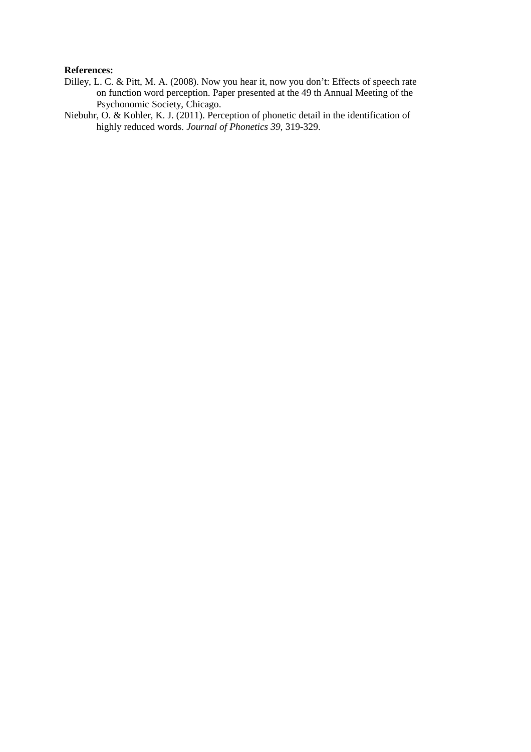#### **References:**

- Dilley, L. C. & Pitt, M. A. (2008). Now you hear it, now you don't: Effects of speech rate on function word perception. Paper presented at the 49 th Annual Meeting of the Psychonomic Society, Chicago.
- Niebuhr, O. & Kohler, K. J. (2011). Perception of phonetic detail in the identification of highly reduced words. *Journal of Phonetics 39,* 319-329.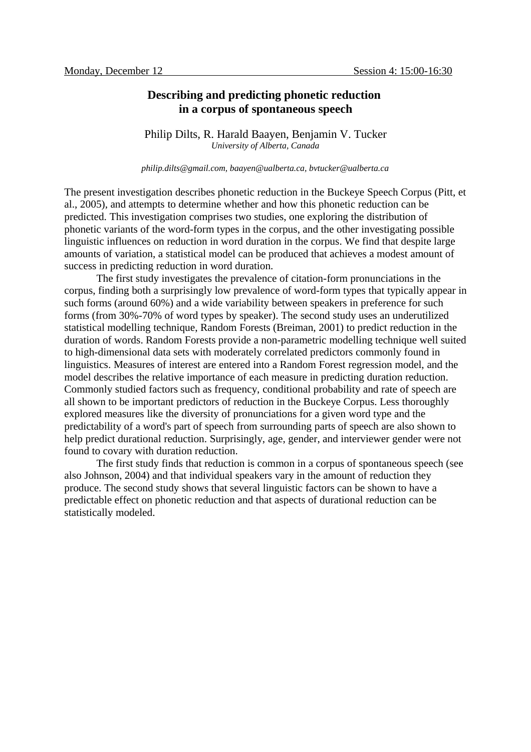### **Describing and predicting phonetic reduction in a corpus of spontaneous speech**

Philip Dilts, R. Harald Baayen, Benjamin V. Tucker *University of Alberta, Canada*

*philip.dilts@gmail.com, baayen@ualberta.ca, bvtucker@ualberta.ca*

The present investigation describes phonetic reduction in the Buckeye Speech Corpus (Pitt, et al., 2005), and attempts to determine whether and how this phonetic reduction can be predicted. This investigation comprises two studies, one exploring the distribution of phonetic variants of the word-form types in the corpus, and the other investigating possible linguistic influences on reduction in word duration in the corpus. We find that despite large amounts of variation, a statistical model can be produced that achieves a modest amount of success in predicting reduction in word duration.

The first study investigates the prevalence of citation-form pronunciations in the corpus, finding both a surprisingly low prevalence of word-form types that typically appear in such forms (around 60%) and a wide variability between speakers in preference for such forms (from 30%-70% of word types by speaker). The second study uses an underutilized statistical modelling technique, Random Forests (Breiman, 2001) to predict reduction in the duration of words. Random Forests provide a non-parametric modelling technique well suited to high-dimensional data sets with moderately correlated predictors commonly found in linguistics. Measures of interest are entered into a Random Forest regression model, and the model describes the relative importance of each measure in predicting duration reduction. Commonly studied factors such as frequency, conditional probability and rate of speech are all shown to be important predictors of reduction in the Buckeye Corpus. Less thoroughly explored measures like the diversity of pronunciations for a given word type and the predictability of a word's part of speech from surrounding parts of speech are also shown to help predict durational reduction. Surprisingly, age, gender, and interviewer gender were not found to covary with duration reduction.

The first study finds that reduction is common in a corpus of spontaneous speech (see also Johnson, 2004) and that individual speakers vary in the amount of reduction they produce. The second study shows that several linguistic factors can be shown to have a predictable effect on phonetic reduction and that aspects of durational reduction can be statistically modeled.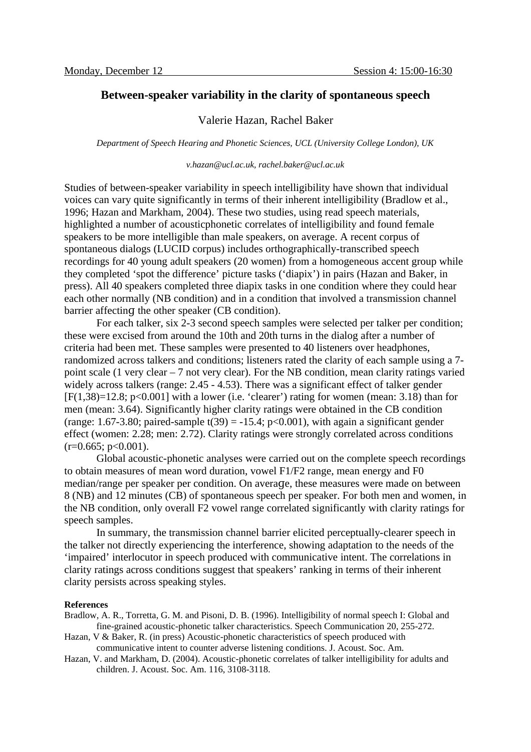### **Between-speaker variability in the clarity of spontaneous speech**

### Valerie Hazan, Rachel Baker

*Department of Speech Hearing and Phonetic Sciences, UCL (University College London), UK*

#### *v.hazan@ucl.ac.uk, rachel.baker@ucl.ac.uk*

Studies of between-speaker variability in speech intelligibility have shown that individual voices can vary quite significantly in terms of their inherent intelligibility (Bradlow et al., 1996; Hazan and Markham, 2004). These two studies, using read speech materials, highlighted a number of acousticphonetic correlates of intelligibility and found female speakers to be more intelligible than male speakers, on average. A recent corpus of spontaneous dialogs (LUCID corpus) includes orthographically-transcribed speech recordings for 40 young adult speakers (20 women) from a homogeneous accent group while they completed 'spot the difference' picture tasks ('diapix') in pairs (Hazan and Baker, in press). All 40 speakers completed three diapix tasks in one condition where they could hear each other normally (NB condition) and in a condition that involved a transmission channel barrier affecting the other speaker (CB condition).

For each talker, six 2-3 second speech samples were selected per talker per condition; these were excised from around the 10th and 20th turns in the dialog after a number of criteria had been met. These samples were presented to 40 listeners over headphones, randomized across talkers and conditions; listeners rated the clarity of each sample using a 7 point scale (1 very clear – 7 not very clear). For the NB condition, mean clarity ratings varied widely across talkers (range: 2.45 - 4.53). There was a significant effect of talker gender  $[F(1,38)=12.8; p<0.001]$  with a lower (i.e. 'clearer') rating for women (mean: 3.18) than for men (mean: 3.64). Significantly higher clarity ratings were obtained in the CB condition (range: 1.67-3.80; paired-sample  $t(39) = -15.4$ ;  $p < 0.001$ ), with again a significant gender effect (women: 2.28; men: 2.72). Clarity ratings were strongly correlated across conditions  $(r=0.665; p<0.001)$ .

Global acoustic-phonetic analyses were carried out on the complete speech recordings to obtain measures of mean word duration, vowel F1/F2 range, mean energy and F0 median/range per speaker per condition. On average, these measures were made on between 8 (NB) and 12 minutes (CB) of spontaneous speech per speaker. For both men and women, in the NB condition, only overall F2 vowel range correlated significantly with clarity ratings for speech samples.

In summary, the transmission channel barrier elicited perceptually-clearer speech in the talker not directly experiencing the interference, showing adaptation to the needs of the 'impaired' interlocutor in speech produced with communicative intent. The correlations in clarity ratings across conditions suggest that speakers' ranking in terms of their inherent clarity persists across speaking styles.

#### **References**

- Bradlow, A. R., Torretta, G. M. and Pisoni, D. B. (1996). Intelligibility of normal speech I: Global and fine-grained acoustic-phonetic talker characteristics. Speech Communication 20, 255-272.
- Hazan, V & Baker, R. (in press) Acoustic-phonetic characteristics of speech produced with communicative intent to counter adverse listening conditions. J. Acoust. Soc. Am.
- Hazan, V. and Markham, D. (2004). Acoustic-phonetic correlates of talker intelligibility for adults and children. J. Acoust. Soc. Am. 116, 3108-3118.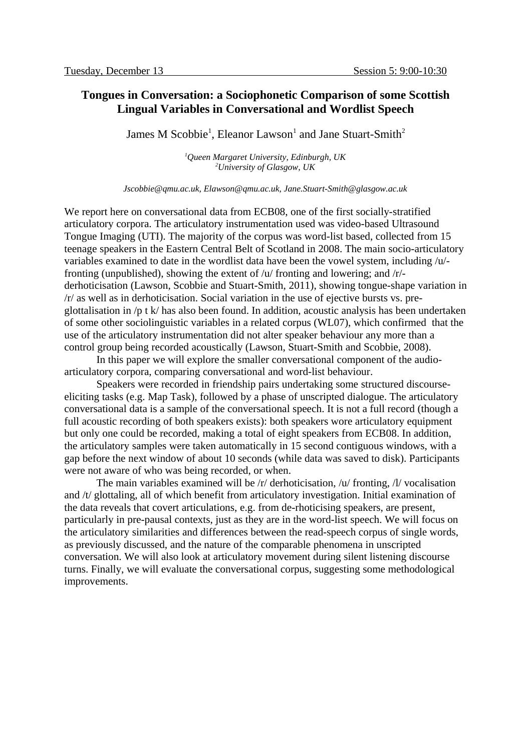# **Tongues in Conversation: a Sociophonetic Comparison of some Scottish Lingual Variables in Conversational and Wordlist Speech**

James M Scobbie<sup>1</sup>, Eleanor Lawson<sup>1</sup> and Jane Stuart-Smith<sup>2</sup>

*<sup>1</sup>Queen Margaret University, Edinburgh, UK <sup>2</sup>University of Glasgow, UK*

*Jscobbie@qmu.ac.uk, Elawson@qmu.ac.uk, Jane.Stuart-Smith@glasgow.ac.uk*

We report here on conversational data from ECB08, one of the first socially-stratified articulatory corpora. The articulatory instrumentation used was video-based Ultrasound Tongue Imaging (UTI). The majority of the corpus was word-list based, collected from 15 teenage speakers in the Eastern Central Belt of Scotland in 2008. The main socio-articulatory variables examined to date in the wordlist data have been the vowel system, including /u/ fronting (unpublished), showing the extent of /u/ fronting and lowering; and /r/ derhoticisation (Lawson, Scobbie and Stuart-Smith, 2011), showing tongue-shape variation in /r/ as well as in derhoticisation. Social variation in the use of ejective bursts vs. preglottalisation in /p t k/ has also been found. In addition, acoustic analysis has been undertaken of some other sociolinguistic variables in a related corpus (WL07), which confirmed that the use of the articulatory instrumentation did not alter speaker behaviour any more than a control group being recorded acoustically (Lawson, Stuart-Smith and Scobbie, 2008).

In this paper we will explore the smaller conversational component of the audioarticulatory corpora, comparing conversational and word-list behaviour.

Speakers were recorded in friendship pairs undertaking some structured discourseeliciting tasks (e.g. Map Task), followed by a phase of unscripted dialogue. The articulatory conversational data is a sample of the conversational speech. It is not a full record (though a full acoustic recording of both speakers exists): both speakers wore articulatory equipment but only one could be recorded, making a total of eight speakers from ECB08. In addition, the articulatory samples were taken automatically in 15 second contiguous windows, with a gap before the next window of about 10 seconds (while data was saved to disk). Participants were not aware of who was being recorded, or when.

The main variables examined will be /r/ derhoticisation, /u/ fronting, /l/ vocalisation and /t/ glottaling, all of which benefit from articulatory investigation. Initial examination of the data reveals that covert articulations, e.g. from de-rhoticising speakers, are present, particularly in pre-pausal contexts, just as they are in the word-list speech. We will focus on the articulatory similarities and differences between the read-speech corpus of single words, as previously discussed, and the nature of the comparable phenomena in unscripted conversation. We will also look at articulatory movement during silent listening discourse turns. Finally, we will evaluate the conversational corpus, suggesting some methodological improvements.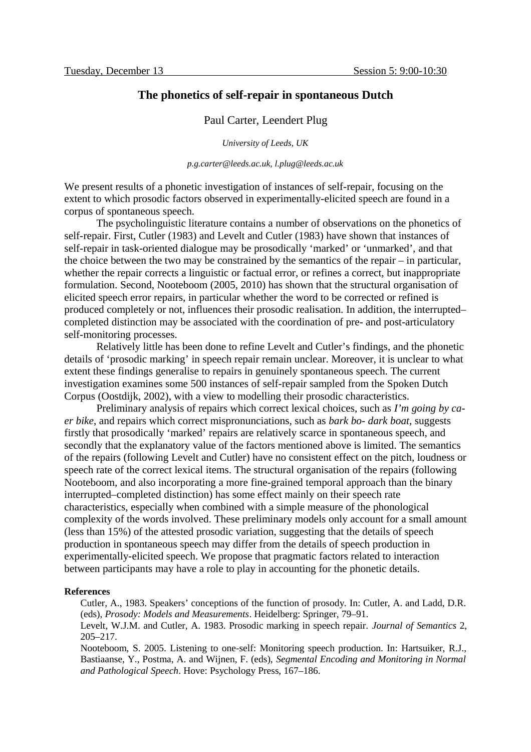### **The phonetics of self-repair in spontaneous Dutch**

#### Paul Carter, Leendert Plug

*University of Leeds, UK*

*p.g.carter@leeds.ac.uk, l.plug@leeds.ac.uk*

We present results of a phonetic investigation of instances of self-repair, focusing on the extent to which prosodic factors observed in experimentally-elicited speech are found in a corpus of spontaneous speech.

The psycholinguistic literature contains a number of observations on the phonetics of self-repair. First, Cutler (1983) and Levelt and Cutler (1983) have shown that instances of self-repair in task-oriented dialogue may be prosodically 'marked' or 'unmarked', and that the choice between the two may be constrained by the semantics of the repair – in particular, whether the repair corrects a linguistic or factual error, or refines a correct, but inappropriate formulation. Second, Nooteboom (2005, 2010) has shown that the structural organisation of elicited speech error repairs, in particular whether the word to be corrected or refined is produced completely or not, influences their prosodic realisation. In addition, the interrupted– completed distinction may be associated with the coordination of pre- and post-articulatory self-monitoring processes.

Relatively little has been done to refine Levelt and Cutler's findings, and the phonetic details of 'prosodic marking' in speech repair remain unclear. Moreover, it is unclear to what extent these findings generalise to repairs in genuinely spontaneous speech. The current investigation examines some 500 instances of self-repair sampled from the Spoken Dutch Corpus (Oostdijk, 2002), with a view to modelling their prosodic characteristics.

Preliminary analysis of repairs which correct lexical choices, such as *I'm going by caer bike*, and repairs which correct mispronunciations, such as *bark bo- dark boat*, suggests firstly that prosodically 'marked' repairs are relatively scarce in spontaneous speech, and secondly that the explanatory value of the factors mentioned above is limited. The semantics of the repairs (following Levelt and Cutler) have no consistent effect on the pitch, loudness or speech rate of the correct lexical items. The structural organisation of the repairs (following Nooteboom, and also incorporating a more fine-grained temporal approach than the binary interrupted–completed distinction) has some effect mainly on their speech rate characteristics, especially when combined with a simple measure of the phonological complexity of the words involved. These preliminary models only account for a small amount (less than 15%) of the attested prosodic variation, suggesting that the details of speech production in spontaneous speech may differ from the details of speech production in experimentally-elicited speech. We propose that pragmatic factors related to interaction between participants may have a role to play in accounting for the phonetic details.

#### **References**

Cutler, A., 1983. Speakers' conceptions of the function of prosody. In: Cutler, A. and Ladd, D.R. (eds), *Prosody: Models and Measurements*. Heidelberg: Springer, 79–91.

Levelt, W.J.M. and Cutler, A. 1983. Prosodic marking in speech repair. *Journal of Semantics* 2, 205–217.

Nooteboom, S. 2005. Listening to one-self: Monitoring speech production. In: Hartsuiker, R.J., Bastiaanse, Y., Postma, A. and Wijnen, F. (eds), *Segmental Encoding and Monitoring in Normal and Pathological Speech*. Hove: Psychology Press, 167–186.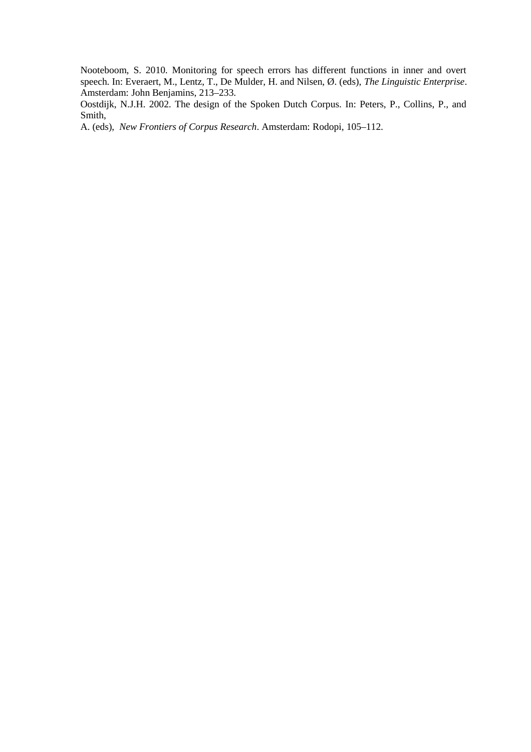Nooteboom, S. 2010. Monitoring for speech errors has different functions in inner and overt speech. In: Everaert, M., Lentz, T., De Mulder, H. and Nilsen, Ø. (eds), *The Linguistic Enterprise*. Amsterdam: John Benjamins, 213–233.

Oostdijk, N.J.H. 2002. The design of the Spoken Dutch Corpus. In: Peters, P., Collins, P., and Smith,

A. (eds), *New Frontiers of Corpus Research*. Amsterdam: Rodopi, 105–112.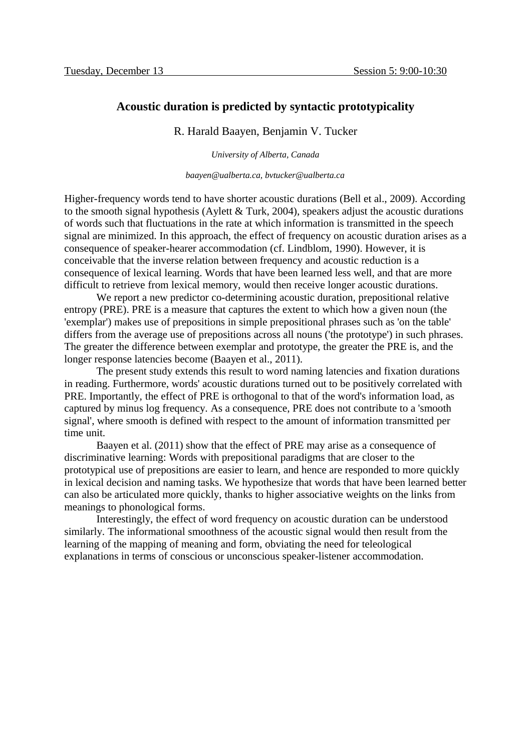### **Acoustic duration is predicted by syntactic prototypicality**

R. Harald Baayen, Benjamin V. Tucker

*University of Alberta, Canada*

*baayen@ualberta.ca, bvtucker@ualberta.ca*

Higher-frequency words tend to have shorter acoustic durations (Bell et al., 2009). According to the smooth signal hypothesis (Aylett & Turk, 2004), speakers adjust the acoustic durations of words such that fluctuations in the rate at which information is transmitted in the speech signal are minimized. In this approach, the effect of frequency on acoustic duration arises as a consequence of speaker-hearer accommodation (cf. Lindblom, 1990). However, it is conceivable that the inverse relation between frequency and acoustic reduction is a consequence of lexical learning. Words that have been learned less well, and that are more difficult to retrieve from lexical memory, would then receive longer acoustic durations.

We report a new predictor co-determining acoustic duration, prepositional relative entropy (PRE). PRE is a measure that captures the extent to which how a given noun (the 'exemplar') makes use of prepositions in simple prepositional phrases such as 'on the table' differs from the average use of prepositions across all nouns ('the prototype') in such phrases. The greater the difference between exemplar and prototype, the greater the PRE is, and the longer response latencies become (Baayen et al., 2011).

The present study extends this result to word naming latencies and fixation durations in reading. Furthermore, words' acoustic durations turned out to be positively correlated with PRE. Importantly, the effect of PRE is orthogonal to that of the word's information load, as captured by minus log frequency. As a consequence, PRE does not contribute to a 'smooth signal', where smooth is defined with respect to the amount of information transmitted per time unit.

Baayen et al. (2011) show that the effect of PRE may arise as a consequence of discriminative learning: Words with prepositional paradigms that are closer to the prototypical use of prepositions are easier to learn, and hence are responded to more quickly in lexical decision and naming tasks. We hypothesize that words that have been learned better can also be articulated more quickly, thanks to higher associative weights on the links from meanings to phonological forms.

Interestingly, the effect of word frequency on acoustic duration can be understood similarly. The informational smoothness of the acoustic signal would then result from the learning of the mapping of meaning and form, obviating the need for teleological explanations in terms of conscious or unconscious speaker-listener accommodation.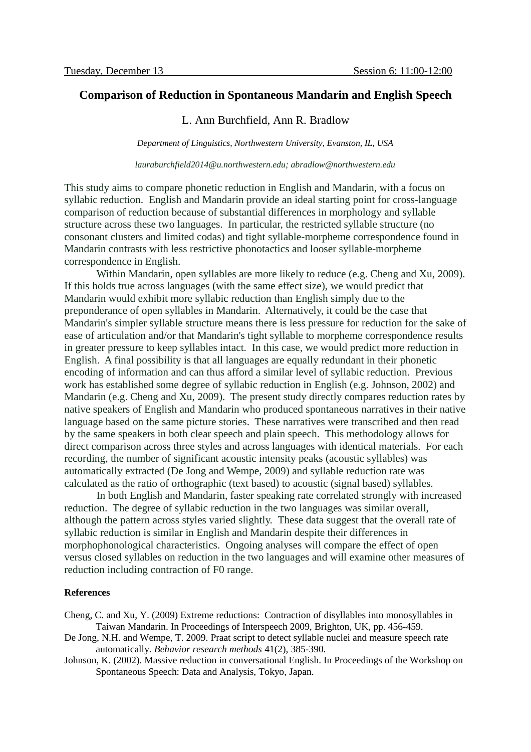# **Comparison of Reduction in Spontaneous Mandarin and English Speech**

### L. Ann Burchfield, Ann R. Bradlow

*Department of Linguistics, Northwestern University, Evanston, IL, USA*

*lauraburchfield2014@u.northwestern.edu; abradlow@northwestern.edu*

This study aims to compare phonetic reduction in English and Mandarin, with a focus on syllabic reduction. English and Mandarin provide an ideal starting point for cross-language comparison of reduction because of substantial differences in morphology and syllable structure across these two languages. In particular, the restricted syllable structure (no consonant clusters and limited codas) and tight syllable-morpheme correspondence found in Mandarin contrasts with less restrictive phonotactics and looser syllable-morpheme correspondence in English.

Within Mandarin, open syllables are more likely to reduce (e.g. Cheng and Xu, 2009). If this holds true across languages (with the same effect size), we would predict that Mandarin would exhibit more syllabic reduction than English simply due to the preponderance of open syllables in Mandarin. Alternatively, it could be the case that Mandarin's simpler syllable structure means there is less pressure for reduction for the sake of ease of articulation and/or that Mandarin's tight syllable to morpheme correspondence results in greater pressure to keep syllables intact. In this case, we would predict more reduction in English. A final possibility is that all languages are equally redundant in their phonetic encoding of information and can thus afford a similar level of syllabic reduction. Previous work has established some degree of syllabic reduction in English (e.g. Johnson, 2002) and Mandarin (e.g. Cheng and Xu, 2009). The present study directly compares reduction rates by native speakers of English and Mandarin who produced spontaneous narratives in their native language based on the same picture stories. These narratives were transcribed and then read by the same speakers in both clear speech and plain speech. This methodology allows for direct comparison across three styles and across languages with identical materials. For each recording, the number of significant acoustic intensity peaks (acoustic syllables) was automatically extracted (De Jong and Wempe, 2009) and syllable reduction rate was calculated as the ratio of orthographic (text based) to acoustic (signal based) syllables.

In both English and Mandarin, faster speaking rate correlated strongly with increased reduction. The degree of syllabic reduction in the two languages was similar overall, although the pattern across styles varied slightly. These data suggest that the overall rate of syllabic reduction is similar in English and Mandarin despite their differences in morphophonological characteristics. Ongoing analyses will compare the effect of open versus closed syllables on reduction in the two languages and will examine other measures of reduction including contraction of F0 range.

### **References**

Cheng, C. and Xu, Y. (2009) Extreme reductions: Contraction of disyllables into monosyllables in Taiwan Mandarin. In Proceedings of Interspeech 2009, Brighton, UK, pp. 456-459.

- De Jong, N.H. and Wempe, T. 2009. Praat script to detect syllable nuclei and measure speech rate automatically. *Behavior research methods* 41(2), 385-390.
- Johnson, K. (2002). Massive reduction in conversational English. In Proceedings of the Workshop on Spontaneous Speech: Data and Analysis, Tokyo, Japan.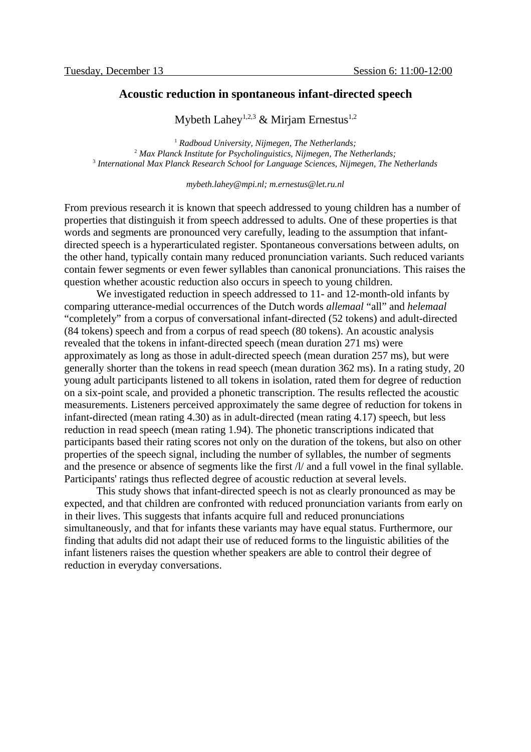### **Acoustic reduction in spontaneous infant-directed speech**

Mybeth Lahev<sup>1,2,3</sup> & Miriam Ernestus<sup>1,2</sup>

<sup>1</sup> *Radboud University, Nijmegen, The Netherlands;* <sup>2</sup> Max Planck Institute for Psycholinguistics, Nijmegen, The Netherlands; 3  *International Max Planck Research School for Language Sciences, Nijmegen, The Netherlands*

*mybeth.lahey@mpi.nl; m.ernestus@let.ru.nl*

From previous research it is known that speech addressed to young children has a number of properties that distinguish it from speech addressed to adults. One of these properties is that words and segments are pronounced very carefully, leading to the assumption that infantdirected speech is a hyperarticulated register. Spontaneous conversations between adults, on the other hand, typically contain many reduced pronunciation variants. Such reduced variants contain fewer segments or even fewer syllables than canonical pronunciations. This raises the question whether acoustic reduction also occurs in speech to young children.

We investigated reduction in speech addressed to 11- and 12-month-old infants by comparing utterance-medial occurrences of the Dutch words *allemaal* "all" and *helemaal* "completely" from a corpus of conversational infant-directed (52 tokens) and adult-directed (84 tokens) speech and from a corpus of read speech (80 tokens). An acoustic analysis revealed that the tokens in infant-directed speech (mean duration 271 ms) were approximately as long as those in adult-directed speech (mean duration 257 ms), but were generally shorter than the tokens in read speech (mean duration 362 ms). In a rating study, 20 young adult participants listened to all tokens in isolation, rated them for degree of reduction on a six-point scale, and provided a phonetic transcription. The results reflected the acoustic measurements. Listeners perceived approximately the same degree of reduction for tokens in infant-directed (mean rating 4.30) as in adult-directed (mean rating 4.17) speech, but less reduction in read speech (mean rating 1.94). The phonetic transcriptions indicated that participants based their rating scores not only on the duration of the tokens, but also on other properties of the speech signal, including the number of syllables, the number of segments and the presence or absence of segments like the first  $\Lambda$  and a full vowel in the final syllable. Participants' ratings thus reflected degree of acoustic reduction at several levels.

This study shows that infant-directed speech is not as clearly pronounced as may be expected, and that children are confronted with reduced pronunciation variants from early on in their lives. This suggests that infants acquire full and reduced pronunciations simultaneously, and that for infants these variants may have equal status. Furthermore, our finding that adults did not adapt their use of reduced forms to the linguistic abilities of the infant listeners raises the question whether speakers are able to control their degree of reduction in everyday conversations.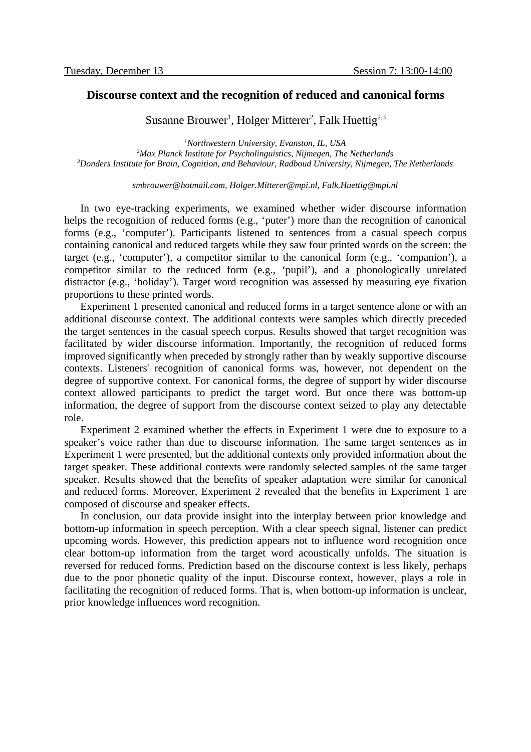### **Discourse context and the recognition of reduced and canonical forms**

Susanne Brouwer<sup>1</sup>, Holger Mitterer<sup>2</sup>, Falk Huettig<sup>2,3</sup>

*<sup>1</sup>Northwestern University, Evanston, IL, USA <sup>2</sup>Max Planck Institute for Psycholinguistics, Nijmegen, The Netherlands <sup>3</sup>Donders Institute for Brain, Cognition, and Behaviour, Radboud University, Nijmegen, The Netherlands*

*smbrouwer@hotmail.com, Holger.Mitterer@mpi.nl, Falk.Huettig@mpi.nl*

In two eye-tracking experiments, we examined whether wider discourse information helps the recognition of reduced forms (e.g., 'puter') more than the recognition of canonical forms (e.g., 'computer'). Participants listened to sentences from a casual speech corpus containing canonical and reduced targets while they saw four printed words on the screen: the target (e.g., 'computer'), a competitor similar to the canonical form (e.g., 'companion'), a competitor similar to the reduced form (e.g., 'pupil'), and a phonologically unrelated distractor (e.g., 'holiday'). Target word recognition was assessed by measuring eye fixation proportions to these printed words.

Experiment 1 presented canonical and reduced forms in a target sentence alone or with an additional discourse context. The additional contexts were samples which directly preceded the target sentences in the casual speech corpus. Results showed that target recognition was facilitated by wider discourse information. Importantly, the recognition of reduced forms improved significantly when preceded by strongly rather than by weakly supportive discourse contexts. Listeners' recognition of canonical forms was, however, not dependent on the degree of supportive context. For canonical forms, the degree of support by wider discourse context allowed participants to predict the target word. But once there was bottom-up information, the degree of support from the discourse context seized to play any detectable role.

Experiment 2 examined whether the effects in Experiment 1 were due to exposure to a speaker's voice rather than due to discourse information. The same target sentences as in Experiment 1 were presented, but the additional contexts only provided information about the target speaker. These additional contexts were randomly selected samples of the same target speaker. Results showed that the benefits of speaker adaptation were similar for canonical and reduced forms. Moreover, Experiment 2 revealed that the benefits in Experiment 1 are composed of discourse and speaker effects.

In conclusion, our data provide insight into the interplay between prior knowledge and bottom-up information in speech perception. With a clear speech signal, listener can predict upcoming words. However, this prediction appears not to influence word recognition once clear bottom-up information from the target word acoustically unfolds. The situation is reversed for reduced forms. Prediction based on the discourse context is less likely, perhaps due to the poor phonetic quality of the input. Discourse context, however, plays a role in facilitating the recognition of reduced forms. That is, when bottom-up information is unclear, prior knowledge influences word recognition.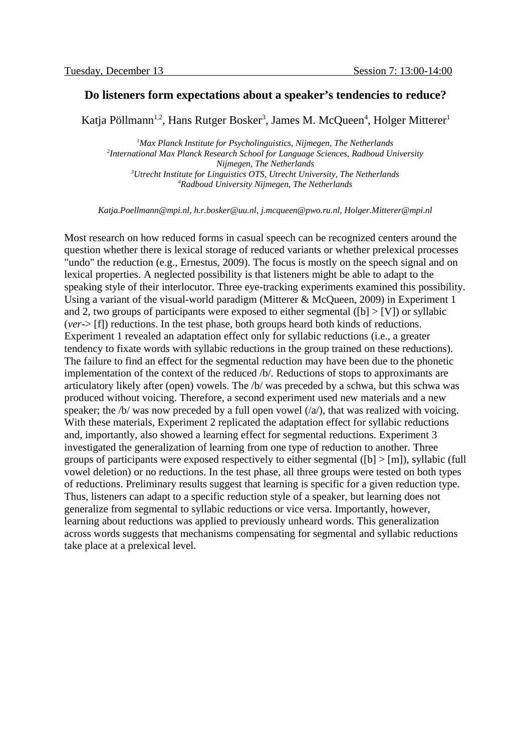### **Do listeners form expectations about a speaker's tendencies to reduce?**

Katja Pöllmann $^{1,2}$ , Hans Rutger Bosker $^3$ , James M. McQueen $^4$ , Holger Mitterer $^1$ 

*Max Planck Institute for Psycholinguistics, Nijmegen, The Netherlands International Max Planck Research School for Language Sciences, Radboud University Nijmegen, The Netherlands Utrecht Institute for Linguistics OTS, Utrecht University, The Netherlands Radboud University Nijmegen, The Netherlands*

*Katja.Poellmann@mpi.nl, h.r.bosker@uu.nl, j.mcqueen@pwo.ru.nl, Holger.Mitterer@mpi.nl*

Most research on how reduced forms in casual speech can be recognized centers around the question whether there is lexical storage of reduced variants or whether prelexical processes "undo" the reduction (e.g., Ernestus, 2009). The focus is mostly on the speech signal and on lexical properties. A neglected possibility is that listeners might be able to adapt to the speaking style of their interlocutor. Three eye-tracking experiments examined this possibility. Using a variant of the visual-world paradigm (Mitterer & McQueen, 2009) in Experiment 1 and 2, two groups of participants were exposed to either segmental ( $[b]$  >  $[V]$ ) or syllabic (*ver*-> [f]) reductions. In the test phase, both groups heard both kinds of reductions. Experiment 1 revealed an adaptation effect only for syllabic reductions (i.e., a greater tendency to fixate words with syllabic reductions in the group trained on these reductions). The failure to find an effect for the segmental reduction may have been due to the phonetic implementation of the context of the reduced /b/. Reductions of stops to approximants are articulatory likely after (open) vowels. The /b/ was preceded by a schwa, but this schwa was produced without voicing. Therefore, a second experiment used new materials and a new speaker; the  $/b$  was now preceded by a full open vowel  $(/a)$ , that was realized with voicing. With these materials, Experiment 2 replicated the adaptation effect for syllabic reductions and, importantly, also showed a learning effect for segmental reductions. Experiment 3 investigated the generalization of learning from one type of reduction to another. Three groups of participants were exposed respectively to either segmental ( $[b]$  >  $[m]$ ), syllabic (full vowel deletion) or no reductions. In the test phase, all three groups were tested on both types of reductions. Preliminary results suggest that learning is specific for a given reduction type. Thus, listeners can adapt to a specific reduction style of a speaker, but learning does not generalize from segmental to syllabic reductions or vice versa. Importantly, however, learning about reductions was applied to previously unheard words. This generalization across words suggests that mechanisms compensating for segmental and syllabic reductions take place at a prelexical level.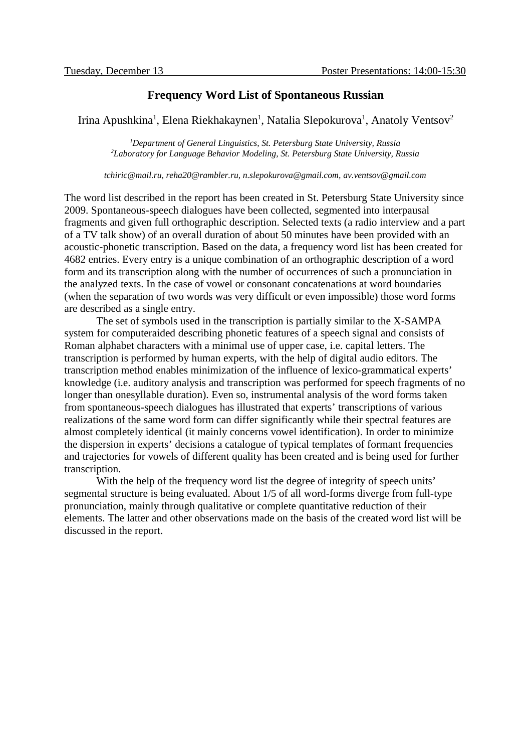### **Frequency Word List of Spontaneous Russian**

Irina Apushkina $^1$ , Elena Riekhakaynen $^1$ , Natalia Slepokurova $^1$ , Anatoly Ventsov $^2$ 

*<sup>1</sup>Department of General Linguistics, St. Petersburg State University, Russia <sup>2</sup>Laboratory for Language Behavior Modeling, St. Petersburg State University, Russia*

*tchiric@mail.ru, reha20@rambler.ru, n.slepokurova@gmail.com, av.ventsov@gmail.com*

The word list described in the report has been created in St. Petersburg State University since 2009. Spontaneous-speech dialogues have been collected, segmented into interpausal fragments and given full orthographic description. Selected texts (a radio interview and a part of a TV talk show) of an overall duration of about 50 minutes have been provided with an acoustic-phonetic transcription. Based on the data, a frequency word list has been created for 4682 entries. Every entry is a unique combination of an orthographic description of a word form and its transcription along with the number of occurrences of such a pronunciation in the analyzed texts. In the case of vowel or consonant concatenations at word boundaries (when the separation of two words was very difficult or even impossible) those word forms are described as a single entry.

The set of symbols used in the transcription is partially similar to the X-SAMPA system for computeraided describing phonetic features of a speech signal and consists of Roman alphabet characters with a minimal use of upper case, i.e. capital letters. The transcription is performed by human experts, with the help of digital audio editors. The transcription method enables minimization of the influence of lexico-grammatical experts' knowledge (i.e. auditory analysis and transcription was performed for speech fragments of no longer than onesyllable duration). Even so, instrumental analysis of the word forms taken from spontaneous-speech dialogues has illustrated that experts' transcriptions of various realizations of the same word form can differ significantly while their spectral features are almost completely identical (it mainly concerns vowel identification). In order to minimize the dispersion in experts' decisions a catalogue of typical templates of formant frequencies and trajectories for vowels of different quality has been created and is being used for further transcription.

With the help of the frequency word list the degree of integrity of speech units' segmental structure is being evaluated. About 1/5 of all word-forms diverge from full-type pronunciation, mainly through qualitative or complete quantitative reduction of their elements. The latter and other observations made on the basis of the created word list will be discussed in the report.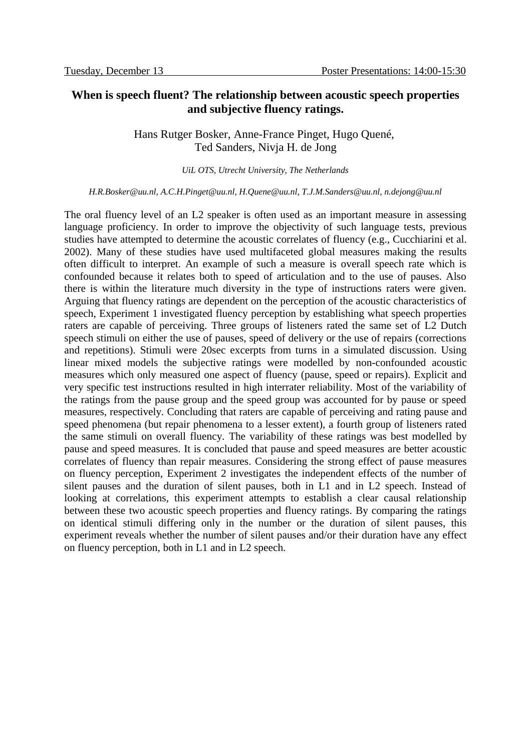# **When is speech fluent? The relationship between acoustic speech properties and subjective fluency ratings.**

Hans Rutger Bosker, Anne-France Pinget, Hugo Quené, Ted Sanders, Nivja H. de Jong

*UiL OTS, Utrecht University, The Netherlands*

*H.R.Bosker@uu.nl, A.C.H.Pinget@uu.nl, H.Quene@uu.nl, T.J.M.Sanders@uu.nl, n.dejong@uu.nl*

The oral fluency level of an L2 speaker is often used as an important measure in assessing language proficiency. In order to improve the objectivity of such language tests, previous studies have attempted to determine the acoustic correlates of fluency (e.g., Cucchiarini et al. 2002). Many of these studies have used multifaceted global measures making the results often difficult to interpret. An example of such a measure is overall speech rate which is confounded because it relates both to speed of articulation and to the use of pauses. Also there is within the literature much diversity in the type of instructions raters were given. Arguing that fluency ratings are dependent on the perception of the acoustic characteristics of speech, Experiment 1 investigated fluency perception by establishing what speech properties raters are capable of perceiving. Three groups of listeners rated the same set of L2 Dutch speech stimuli on either the use of pauses, speed of delivery or the use of repairs (corrections and repetitions). Stimuli were 20sec excerpts from turns in a simulated discussion. Using linear mixed models the subjective ratings were modelled by non-confounded acoustic measures which only measured one aspect of fluency (pause, speed or repairs). Explicit and very specific test instructions resulted in high interrater reliability. Most of the variability of the ratings from the pause group and the speed group was accounted for by pause or speed measures, respectively. Concluding that raters are capable of perceiving and rating pause and speed phenomena (but repair phenomena to a lesser extent), a fourth group of listeners rated the same stimuli on overall fluency. The variability of these ratings was best modelled by pause and speed measures. It is concluded that pause and speed measures are better acoustic correlates of fluency than repair measures. Considering the strong effect of pause measures on fluency perception, Experiment 2 investigates the independent effects of the number of silent pauses and the duration of silent pauses, both in L1 and in L2 speech. Instead of looking at correlations, this experiment attempts to establish a clear causal relationship between these two acoustic speech properties and fluency ratings. By comparing the ratings on identical stimuli differing only in the number or the duration of silent pauses, this experiment reveals whether the number of silent pauses and/or their duration have any effect on fluency perception, both in L1 and in L2 speech.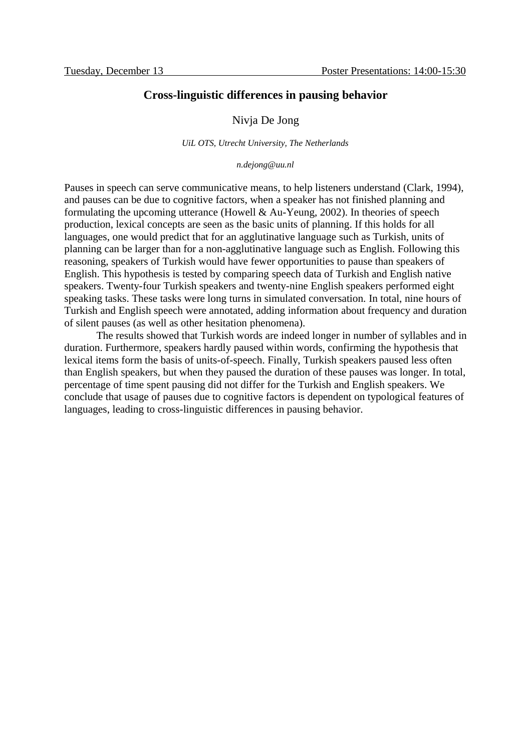### **Cross-linguistic differences in pausing behavior**

### Nivja De Jong

*UiL OTS, Utrecht University, The Netherlands*

*n.dejong@uu.nl*

Pauses in speech can serve communicative means, to help listeners understand (Clark, 1994), and pauses can be due to cognitive factors, when a speaker has not finished planning and formulating the upcoming utterance (Howell & Au-Yeung, 2002). In theories of speech production, lexical concepts are seen as the basic units of planning. If this holds for all languages, one would predict that for an agglutinative language such as Turkish, units of planning can be larger than for a non-agglutinative language such as English. Following this reasoning, speakers of Turkish would have fewer opportunities to pause than speakers of English. This hypothesis is tested by comparing speech data of Turkish and English native speakers. Twenty-four Turkish speakers and twenty-nine English speakers performed eight speaking tasks. These tasks were long turns in simulated conversation. In total, nine hours of Turkish and English speech were annotated, adding information about frequency and duration of silent pauses (as well as other hesitation phenomena).

The results showed that Turkish words are indeed longer in number of syllables and in duration. Furthermore, speakers hardly paused within words, confirming the hypothesis that lexical items form the basis of units-of-speech. Finally, Turkish speakers paused less often than English speakers, but when they paused the duration of these pauses was longer. In total, percentage of time spent pausing did not differ for the Turkish and English speakers. We conclude that usage of pauses due to cognitive factors is dependent on typological features of languages, leading to cross-linguistic differences in pausing behavior.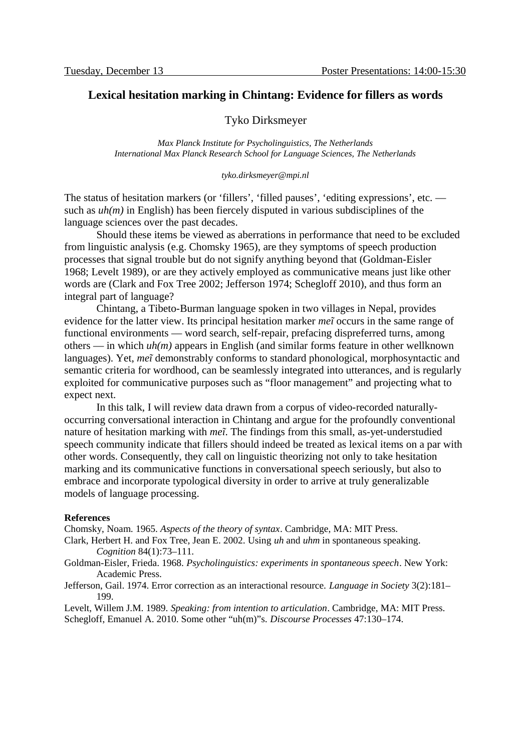### **Lexical hesitation marking in Chintang: Evidence for fillers as words**

#### Tyko Dirksmeyer

*Max Planck Institute for Psycholinguistics, The Netherlands International Max Planck Research School for Language Sciences, The Netherlands*

*tyko.dirksmeyer@mpi.nl*

The status of hesitation markers (or 'fillers', 'filled pauses', 'editing expressions', etc. such as *uh(m)* in English) has been fiercely disputed in various subdisciplines of the language sciences over the past decades.

Should these items be viewed as aberrations in performance that need to be excluded from linguistic analysis (e.g. Chomsky 1965), are they symptoms of speech production processes that signal trouble but do not signify anything beyond that (Goldman-Eisler 1968; Levelt 1989), or are they actively employed as communicative means just like other words are (Clark and Fox Tree 2002; Jefferson 1974; Schegloff 2010), and thus form an integral part of language?

Chintang, a Tibeto-Burman language spoken in two villages in Nepal, provides evidence for the latter view. Its principal hesitation marker *meĩ* occurs in the same range of functional environments — word search, self-repair, prefacing dispreferred turns, among others — in which *uh(m)* appears in English (and similar forms feature in other wellknown languages). Yet, *meĩ* demonstrably conforms to standard phonological, morphosyntactic and semantic criteria for wordhood, can be seamlessly integrated into utterances, and is regularly exploited for communicative purposes such as "floor management" and projecting what to expect next.

In this talk, I will review data drawn from a corpus of video-recorded naturallyoccurring conversational interaction in Chintang and argue for the profoundly conventional nature of hesitation marking with *meĩ*. The findings from this small, as-yet-understudied speech community indicate that fillers should indeed be treated as lexical items on a par with other words. Consequently, they call on linguistic theorizing not only to take hesitation marking and its communicative functions in conversational speech seriously, but also to embrace and incorporate typological diversity in order to arrive at truly generalizable models of language processing.

#### **References**

Chomsky, Noam. 1965. *Aspects of the theory of syntax*. Cambridge, MA: MIT Press.

- Clark, Herbert H. and Fox Tree, Jean E. 2002. Using *uh* and *uhm* in spontaneous speaking. *Cognition* 84(1):73–111.
- Goldman-Eisler, Frieda. 1968. *Psycholinguistics: experiments in spontaneous speech*. New York: Academic Press.
- Jefferson, Gail. 1974. Error correction as an interactional resource. *Language in Society* 3(2):181– 199.

Levelt, Willem J.M. 1989. *Speaking: from intention to articulation*. Cambridge, MA: MIT Press. Schegloff, Emanuel A. 2010. Some other "uh(m)"s. *Discourse Processes* 47:130–174.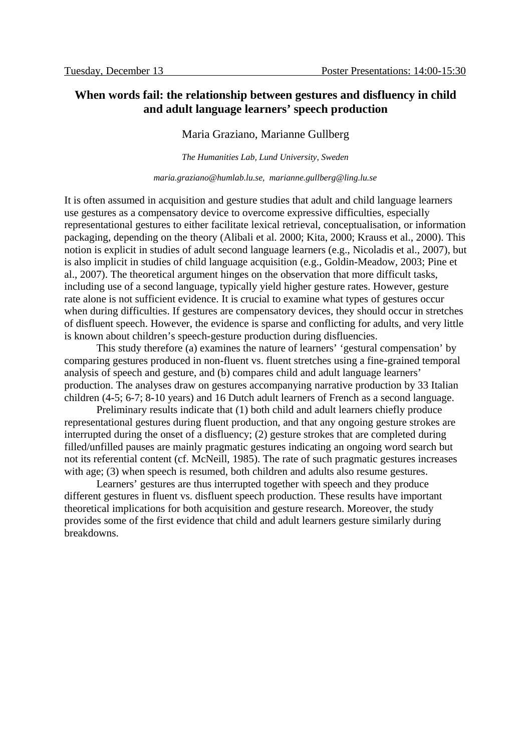# **When words fail: the relationship between gestures and disfluency in child and adult language learners' speech production**

### Maria Graziano, Marianne Gullberg

*The Humanities Lab, Lund University, Sweden*

*maria.graziano@humlab.lu.se, marianne.gullberg@ling.lu.se*

It is often assumed in acquisition and gesture studies that adult and child language learners use gestures as a compensatory device to overcome expressive difficulties, especially representational gestures to either facilitate lexical retrieval, conceptualisation, or information packaging, depending on the theory (Alibali et al. 2000; Kita, 2000; Krauss et al., 2000). This notion is explicit in studies of adult second language learners (e.g., Nicoladis et al., 2007), but is also implicit in studies of child language acquisition (e.g., Goldin-Meadow, 2003; Pine et al., 2007). The theoretical argument hinges on the observation that more difficult tasks, including use of a second language, typically yield higher gesture rates. However, gesture rate alone is not sufficient evidence. It is crucial to examine what types of gestures occur when during difficulties. If gestures are compensatory devices, they should occur in stretches of disfluent speech. However, the evidence is sparse and conflicting for adults, and very little is known about children's speech-gesture production during disfluencies.

This study therefore (a) examines the nature of learners' 'gestural compensation' by comparing gestures produced in non-fluent vs. fluent stretches using a fine-grained temporal analysis of speech and gesture, and (b) compares child and adult language learners' production. The analyses draw on gestures accompanying narrative production by 33 Italian children (4-5; 6-7; 8-10 years) and 16 Dutch adult learners of French as a second language.

Preliminary results indicate that (1) both child and adult learners chiefly produce representational gestures during fluent production, and that any ongoing gesture strokes are interrupted during the onset of a disfluency; (2) gesture strokes that are completed during filled/unfilled pauses are mainly pragmatic gestures indicating an ongoing word search but not its referential content (cf. McNeill, 1985). The rate of such pragmatic gestures increases with age; (3) when speech is resumed, both children and adults also resume gestures.

Learners' gestures are thus interrupted together with speech and they produce different gestures in fluent vs. disfluent speech production. These results have important theoretical implications for both acquisition and gesture research. Moreover, the study provides some of the first evidence that child and adult learners gesture similarly during breakdowns.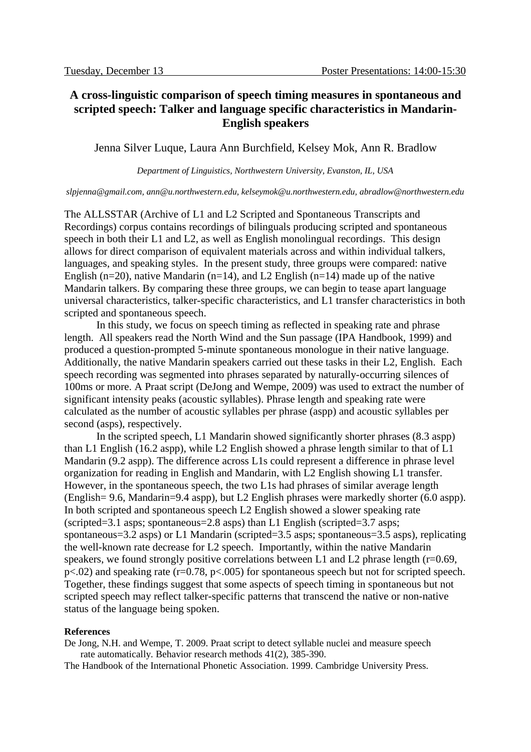# **A cross-linguistic comparison of speech timing measures in spontaneous and scripted speech: Talker and language specific characteristics in Mandarin-English speakers**

Jenna Silver Luque, Laura Ann Burchfield, Kelsey Mok, Ann R. Bradlow

*Department of Linguistics, Northwestern University, Evanston, IL, USA*

*slpjenna@gmail.com, ann@u.northwestern.edu, kelseymok@u.northwestern.edu, abradlow@northwestern.edu*

The ALLSSTAR (Archive of L1 and L2 Scripted and Spontaneous Transcripts and Recordings) corpus contains recordings of bilinguals producing scripted and spontaneous speech in both their L1 and L2, as well as English monolingual recordings. This design allows for direct comparison of equivalent materials across and within individual talkers, languages, and speaking styles. In the present study, three groups were compared: native English (n=20), native Mandarin (n=14), and L2 English (n=14) made up of the native Mandarin talkers. By comparing these three groups, we can begin to tease apart language universal characteristics, talker-specific characteristics, and L1 transfer characteristics in both scripted and spontaneous speech.

In this study, we focus on speech timing as reflected in speaking rate and phrase length. All speakers read the North Wind and the Sun passage (IPA Handbook, 1999) and produced a question-prompted 5-minute spontaneous monologue in their native language. Additionally, the native Mandarin speakers carried out these tasks in their L2, English. Each speech recording was segmented into phrases separated by naturally-occurring silences of 100ms or more. A Praat script (DeJong and Wempe, 2009) was used to extract the number of significant intensity peaks (acoustic syllables). Phrase length and speaking rate were calculated as the number of acoustic syllables per phrase (aspp) and acoustic syllables per second (asps), respectively.

In the scripted speech, L1 Mandarin showed significantly shorter phrases (8.3 aspp) than L1 English (16.2 aspp), while L2 English showed a phrase length similar to that of L1 Mandarin (9.2 aspp). The difference across L1s could represent a difference in phrase level organization for reading in English and Mandarin, with L2 English showing L1 transfer. However, in the spontaneous speech, the two L1s had phrases of similar average length (English= 9.6, Mandarin=9.4 aspp), but L2 English phrases were markedly shorter (6.0 aspp). In both scripted and spontaneous speech L2 English showed a slower speaking rate (scripted=3.1 asps; spontaneous=2.8 asps) than L1 English (scripted=3.7 asps; spontaneous=3.2 asps) or L1 Mandarin (scripted=3.5 asps; spontaneous=3.5 asps), replicating the well-known rate decrease for L2 speech. Importantly, within the native Mandarin speakers, we found strongly positive correlations between L1 and L2 phrase length (r=0.69, p<.02) and speaking rate (r=0.78, p<.005) for spontaneous speech but not for scripted speech. Together, these findings suggest that some aspects of speech timing in spontaneous but not scripted speech may reflect talker-specific patterns that transcend the native or non-native status of the language being spoken.

#### **References**

De Jong, N.H. and Wempe, T. 2009. Praat script to detect syllable nuclei and measure speech rate automatically. Behavior research methods 41(2), 385-390.

The Handbook of the International Phonetic Association. 1999. Cambridge University Press.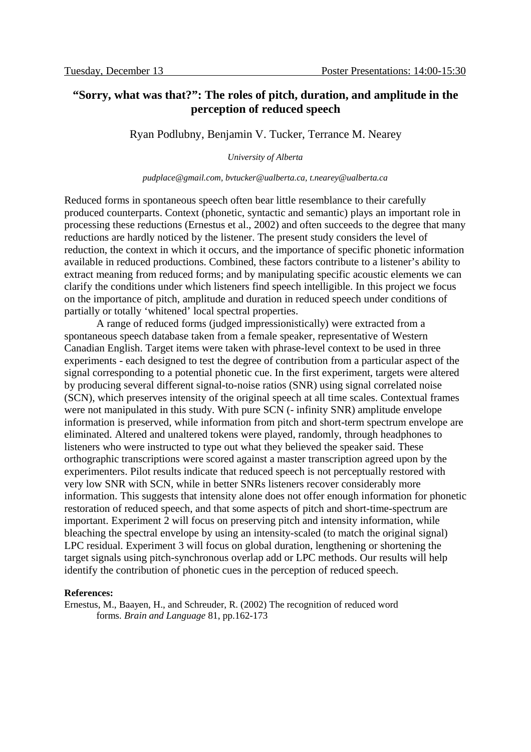# **"Sorry, what was that?": The roles of pitch, duration, and amplitude in the perception of reduced speech**

Ryan Podlubny, Benjamin V. Tucker, Terrance M. Nearey

*University of Alberta*

#### *pudplace@gmail.com, bvtucker@ualberta.ca, t.nearey@ualberta.ca*

Reduced forms in spontaneous speech often bear little resemblance to their carefully produced counterparts. Context (phonetic, syntactic and semantic) plays an important role in processing these reductions (Ernestus et al., 2002) and often succeeds to the degree that many reductions are hardly noticed by the listener. The present study considers the level of reduction, the context in which it occurs, and the importance of specific phonetic information available in reduced productions. Combined, these factors contribute to a listener's ability to extract meaning from reduced forms; and by manipulating specific acoustic elements we can clarify the conditions under which listeners find speech intelligible. In this project we focus on the importance of pitch, amplitude and duration in reduced speech under conditions of partially or totally 'whitened' local spectral properties.

A range of reduced forms (judged impressionistically) were extracted from a spontaneous speech database taken from a female speaker, representative of Western Canadian English. Target items were taken with phrase-level context to be used in three experiments - each designed to test the degree of contribution from a particular aspect of the signal corresponding to a potential phonetic cue. In the first experiment, targets were altered by producing several different signal-to-noise ratios (SNR) using signal correlated noise (SCN), which preserves intensity of the original speech at all time scales. Contextual frames were not manipulated in this study. With pure SCN (- infinity SNR) amplitude envelope information is preserved, while information from pitch and short-term spectrum envelope are eliminated. Altered and unaltered tokens were played, randomly, through headphones to listeners who were instructed to type out what they believed the speaker said. These orthographic transcriptions were scored against a master transcription agreed upon by the experimenters. Pilot results indicate that reduced speech is not perceptually restored with very low SNR with SCN, while in better SNRs listeners recover considerably more information. This suggests that intensity alone does not offer enough information for phonetic restoration of reduced speech, and that some aspects of pitch and short-time-spectrum are important. Experiment 2 will focus on preserving pitch and intensity information, while bleaching the spectral envelope by using an intensity-scaled (to match the original signal) LPC residual. Experiment 3 will focus on global duration, lengthening or shortening the target signals using pitch-synchronous overlap add or LPC methods. Our results will help identify the contribution of phonetic cues in the perception of reduced speech.

#### **References:**

Ernestus, M., Baayen, H., and Schreuder, R. (2002) The recognition of reduced word forms*. Brain and Language* 81, pp.162-173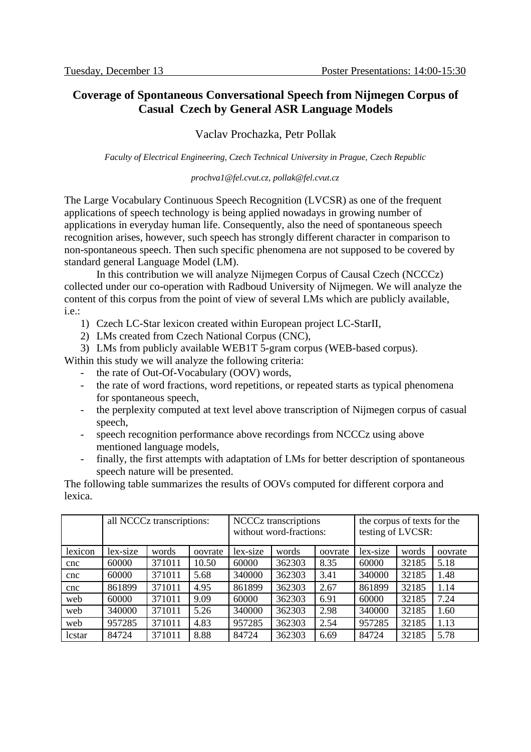# **Coverage of Spontaneous Conversational Speech from Nijmegen Corpus of Casual Czech by General ASR Language Models**

### Vaclav Prochazka, Petr Pollak

*Faculty of Electrical Engineering, Czech Technical University in Prague, Czech Republic*

### *prochva1@fel.cvut.cz, pollak@fel.cvut.cz*

The Large Vocabulary Continuous Speech Recognition (LVCSR) as one of the frequent applications of speech technology is being applied nowadays in growing number of applications in everyday human life. Consequently, also the need of spontaneous speech recognition arises, however, such speech has strongly different character in comparison to non-spontaneous speech. Then such specific phenomena are not supposed to be covered by standard general Language Model (LM).

In this contribution we will analyze Nijmegen Corpus of Causal Czech (NCCCz) collected under our co-operation with Radboud University of Nijmegen. We will analyze the content of this corpus from the point of view of several LMs which are publicly available, i.e.:

1) Czech LC-Star lexicon created within European project LC-StarII,

- 2) LMs created from Czech National Corpus (CNC),
- 3) LMs from publicly available WEB1T 5-gram corpus (WEB-based corpus).

Within this study we will analyze the following criteria:

- the rate of Out-Of-Vocabulary (OOV) words,
- the rate of word fractions, word repetitions, or repeated starts as typical phenomena for spontaneous speech,
- the perplexity computed at text level above transcription of Nijmegen corpus of casual speech,
- speech recognition performance above recordings from NCCCz using above mentioned language models,
- finally, the first attempts with adaptation of LMs for better description of spontaneous speech nature will be presented.

The following table summarizes the results of OOVs computed for different corpora and lexica.

|                 | all NCCCz transcriptions: |        | <b>NCCCz</b> transcriptions<br>without word-fractions: |          |        | the corpus of texts for the<br>testing of LVCSR: |          |       |         |
|-----------------|---------------------------|--------|--------------------------------------------------------|----------|--------|--------------------------------------------------|----------|-------|---------|
| lexicon         | lex-size                  | words  | oovrate                                                | lex-size | words  | oovrate                                          | lex-size | words | oovrate |
| <sub>c</sub> nc | 60000                     | 371011 | 10.50                                                  | 60000    | 362303 | 8.35                                             | 60000    | 32185 | 5.18    |
| cnc             | 60000                     | 371011 | 5.68                                                   | 340000   | 362303 | 3.41                                             | 340000   | 32185 | 1.48    |
| cnc             | 861899                    | 371011 | 4.95                                                   | 861899   | 362303 | 2.67                                             | 861899   | 32185 | 1.14    |
| web             | 60000                     | 371011 | 9.09                                                   | 60000    | 362303 | 6.91                                             | 60000    | 32185 | 7.24    |
| web             | 340000                    | 371011 | 5.26                                                   | 340000   | 362303 | 2.98                                             | 340000   | 32185 | 1.60    |
| web             | 957285                    | 371011 | 4.83                                                   | 957285   | 362303 | 2.54                                             | 957285   | 32185 | 1.13    |
| lcstar          | 84724                     | 371011 | 8.88                                                   | 84724    | 362303 | 6.69                                             | 84724    | 32185 | 5.78    |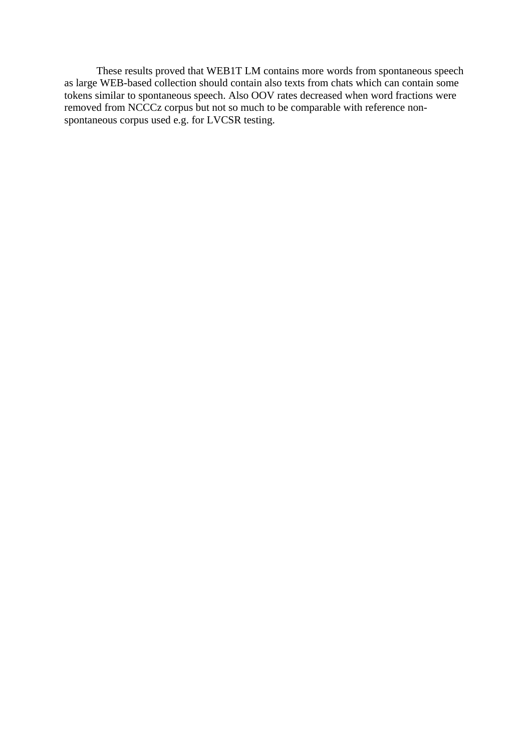These results proved that WEB1T LM contains more words from spontaneous speech as large WEB-based collection should contain also texts from chats which can contain some tokens similar to spontaneous speech. Also OOV rates decreased when word fractions were removed from NCCCz corpus but not so much to be comparable with reference nonspontaneous corpus used e.g. for LVCSR testing.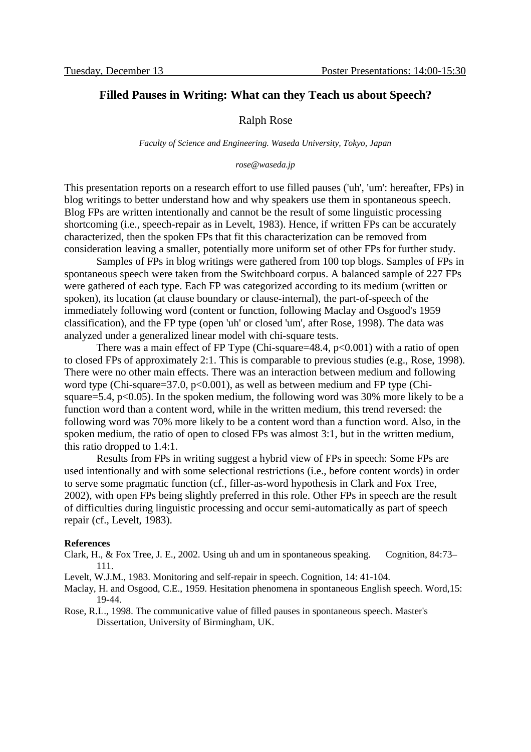### **Filled Pauses in Writing: What can they Teach us about Speech?**

### Ralph Rose

*Faculty of Science and Engineering. Waseda University, Tokyo, Japan*

#### *rose@waseda.jp*

This presentation reports on a research effort to use filled pauses ('uh', 'um': hereafter, FPs) in blog writings to better understand how and why speakers use them in spontaneous speech. Blog FPs are written intentionally and cannot be the result of some linguistic processing shortcoming (i.e., speech-repair as in Levelt, 1983). Hence, if written FPs can be accurately characterized, then the spoken FPs that fit this characterization can be removed from consideration leaving a smaller, potentially more uniform set of other FPs for further study.

Samples of FPs in blog writings were gathered from 100 top blogs. Samples of FPs in spontaneous speech were taken from the Switchboard corpus. A balanced sample of 227 FPs were gathered of each type. Each FP was categorized according to its medium (written or spoken), its location (at clause boundary or clause-internal), the part-of-speech of the immediately following word (content or function, following Maclay and Osgood's 1959 classification), and the FP type (open 'uh' or closed 'um', after Rose, 1998). The data was analyzed under a generalized linear model with chi-square tests.

There was a main effect of FP Type (Chi-square=48.4,  $p<0.001$ ) with a ratio of open to closed FPs of approximately 2:1. This is comparable to previous studies (e.g., Rose, 1998). There were no other main effects. There was an interaction between medium and following word type (Chi-square=37.0,  $p<0.001$ ), as well as between medium and FP type (Chisquare=5.4,  $p<0.05$ ). In the spoken medium, the following word was 30% more likely to be a function word than a content word, while in the written medium, this trend reversed: the following word was 70% more likely to be a content word than a function word. Also, in the spoken medium, the ratio of open to closed FPs was almost 3:1, but in the written medium, this ratio dropped to 1.4:1.

Results from FPs in writing suggest a hybrid view of FPs in speech: Some FPs are used intentionally and with some selectional restrictions (i.e., before content words) in order to serve some pragmatic function (cf., filler-as-word hypothesis in Clark and Fox Tree, 2002), with open FPs being slightly preferred in this role. Other FPs in speech are the result of difficulties during linguistic processing and occur semi-automatically as part of speech repair (cf., Levelt, 1983).

#### **References**

- Clark, H., & Fox Tree, J. E., 2002. Using uh and um in spontaneous speaking. Cognition, 84:73– 111.
- Levelt, W.J.M., 1983. Monitoring and self-repair in speech. Cognition, 14: 41-104.
- Maclay, H. and Osgood, C.E., 1959. Hesitation phenomena in spontaneous English speech. Word,15: 19-44.
- Rose, R.L., 1998. The communicative value of filled pauses in spontaneous speech. Master's Dissertation, University of Birmingham, UK.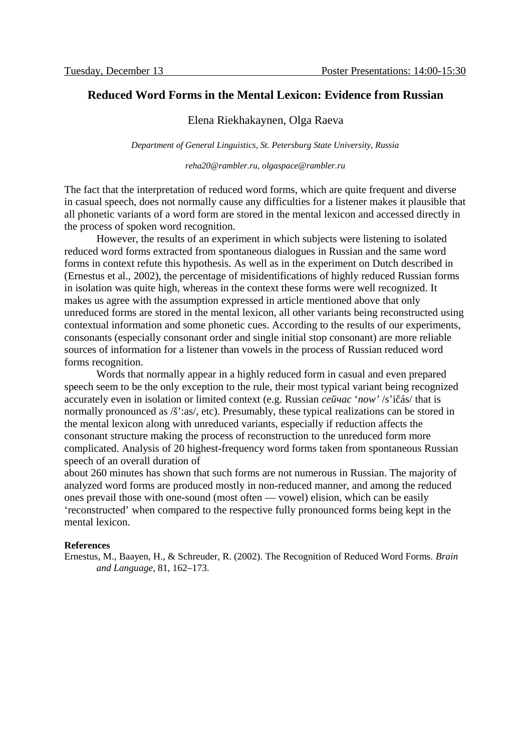### **Reduced Word Forms in the Mental Lexicon: Evidence from Russian**

### Elena Riekhakaynen, Olga Raeva

*Department of General Linguistics, St. Petersburg State University, Russia*

*reha20@rambler.ru, olgaspace@rambler.ru*

The fact that the interpretation of reduced word forms, which are quite frequent and diverse in casual speech, does not normally cause any difficulties for a listener makes it plausible that all phonetic variants of a word form are stored in the mental lexicon and accessed directly in the process of spoken word recognition.

However, the results of an experiment in which subjects were listening to isolated reduced word forms extracted from spontaneous dialogues in Russian and the same word forms in context refute this hypothesis. As well as in the experiment on Dutch described in (Ernestus et al., 2002), the percentage of misidentifications of highly reduced Russian forms in isolation was quite high, whereas in the context these forms were well recognized. It makes us agree with the assumption expressed in article mentioned above that only unreduced forms are stored in the mental lexicon, all other variants being reconstructed using contextual information and some phonetic cues. According to the results of our experiments, consonants (especially consonant order and single initial stop consonant) are more reliable sources of information for a listener than vowels in the process of Russian reduced word forms recognition.

Words that normally appear in a highly reduced form in casual and even prepared speech seem to be the only exception to the rule, their most typical variant being recognized accurately even in isolation or limited context (e.g. Russian *сейчас* '*now'* /s'ičás/ that is normally pronounced as /š':as/, etc). Presumably, these typical realizations can be stored in the mental lexicon along with unreduced variants, especially if reduction affects the consonant structure making the process of reconstruction to the unreduced form more complicated. Analysis of 20 highest-frequency word forms taken from spontaneous Russian speech of an overall duration of

about 260 minutes has shown that such forms are not numerous in Russian. The majority of analyzed word forms are produced mostly in non-reduced manner, and among the reduced ones prevail those with one-sound (most often — vowel) elision, which can be easily 'reconstructed' when compared to the respective fully pronounced forms being kept in the mental lexicon.

#### **References**

Ernestus, M., Baayen, H., & Schreuder, R. (2002). The Recognition of Reduced Word Forms. *Brain and Language*, 81, 162–173.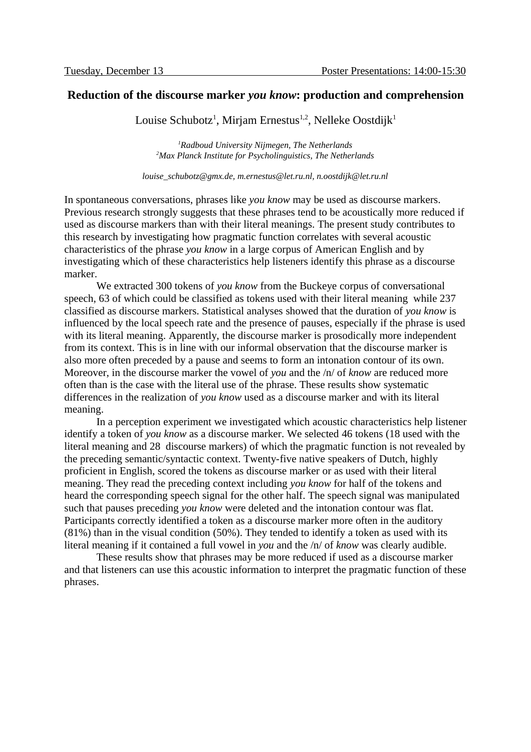### **Reduction of the discourse marker** *you know***: production and comprehension**

Louise Schubotz<sup>1</sup>, Mirjam Ernestus<sup>1,2</sup>, Nelleke Oostdijk<sup>1</sup>

*<sup>1</sup>Radboud University Nijmegen, The Netherlands <sup>2</sup>Max Planck Institute for Psycholinguistics, The Netherlands*

*louise\_schubotz@gmx.de, m.ernestus@let.ru.nl, n.oostdijk@let.ru.nl*

In spontaneous conversations, phrases like *you know* may be used as discourse markers. Previous research strongly suggests that these phrases tend to be acoustically more reduced if used as discourse markers than with their literal meanings. The present study contributes to this research by investigating how pragmatic function correlates with several acoustic characteristics of the phrase *you know* in a large corpus of American English and by investigating which of these characteristics help listeners identify this phrase as a discourse marker.

We extracted 300 tokens of *you know* from the Buckeye corpus of conversational speech, 63 of which could be classified as tokens used with their literal meaning while 237 classified as discourse markers. Statistical analyses showed that the duration of *you know* is influenced by the local speech rate and the presence of pauses, especially if the phrase is used with its literal meaning. Apparently, the discourse marker is prosodically more independent from its context. This is in line with our informal observation that the discourse marker is also more often preceded by a pause and seems to form an intonation contour of its own. Moreover, in the discourse marker the vowel of *you* and the /n/ of *know* are reduced more often than is the case with the literal use of the phrase. These results show systematic differences in the realization of *you know* used as a discourse marker and with its literal meaning.

In a perception experiment we investigated which acoustic characteristics help listener identify a token of *you know* as a discourse marker. We selected 46 tokens (18 used with the literal meaning and 28 discourse markers) of which the pragmatic function is not revealed by the preceding semantic/syntactic context. Twenty-five native speakers of Dutch, highly proficient in English, scored the tokens as discourse marker or as used with their literal meaning. They read the preceding context including *you know* for half of the tokens and heard the corresponding speech signal for the other half. The speech signal was manipulated such that pauses preceding *you know* were deleted and the intonation contour was flat. Participants correctly identified a token as a discourse marker more often in the auditory (81%) than in the visual condition (50%). They tended to identify a token as used with its literal meaning if it contained a full vowel in *you* and the /n/ of *know* was clearly audible.

These results show that phrases may be more reduced if used as a discourse marker and that listeners can use this acoustic information to interpret the pragmatic function of these phrases.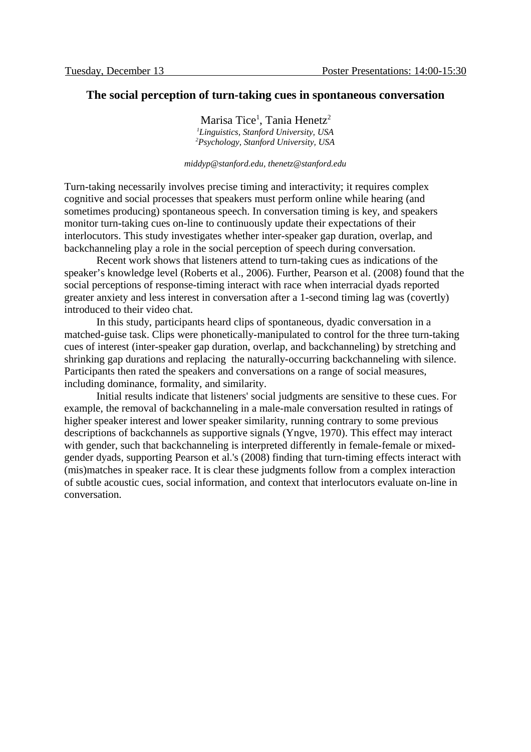### **The social perception of turn-taking cues in spontaneous conversation**

Marisa Tice $^1$ , Tania Henetz $^2$ *<sup>1</sup>Linguistics, Stanford University, USA <sup>2</sup>Psychology, Stanford University, USA*

#### *middyp@stanford.edu, thenetz@stanford.edu*

Turn-taking necessarily involves precise timing and interactivity; it requires complex cognitive and social processes that speakers must perform online while hearing (and sometimes producing) spontaneous speech. In conversation timing is key, and speakers monitor turn-taking cues on-line to continuously update their expectations of their interlocutors. This study investigates whether inter-speaker gap duration, overlap, and backchanneling play a role in the social perception of speech during conversation.

Recent work shows that listeners attend to turn-taking cues as indications of the speaker's knowledge level (Roberts et al., 2006). Further, Pearson et al. (2008) found that the social perceptions of response-timing interact with race when interracial dyads reported greater anxiety and less interest in conversation after a 1-second timing lag was (covertly) introduced to their video chat.

In this study, participants heard clips of spontaneous, dyadic conversation in a matched-guise task. Clips were phonetically-manipulated to control for the three turn-taking cues of interest (inter-speaker gap duration, overlap, and backchanneling) by stretching and shrinking gap durations and replacing the naturally-occurring backchanneling with silence. Participants then rated the speakers and conversations on a range of social measures, including dominance, formality, and similarity.

Initial results indicate that listeners' social judgments are sensitive to these cues. For example, the removal of backchanneling in a male-male conversation resulted in ratings of higher speaker interest and lower speaker similarity, running contrary to some previous descriptions of backchannels as supportive signals (Yngve, 1970). This effect may interact with gender, such that backchanneling is interpreted differently in female-female or mixedgender dyads, supporting Pearson et al.'s (2008) finding that turn-timing effects interact with (mis)matches in speaker race. It is clear these judgments follow from a complex interaction of subtle acoustic cues, social information, and context that interlocutors evaluate on-line in conversation.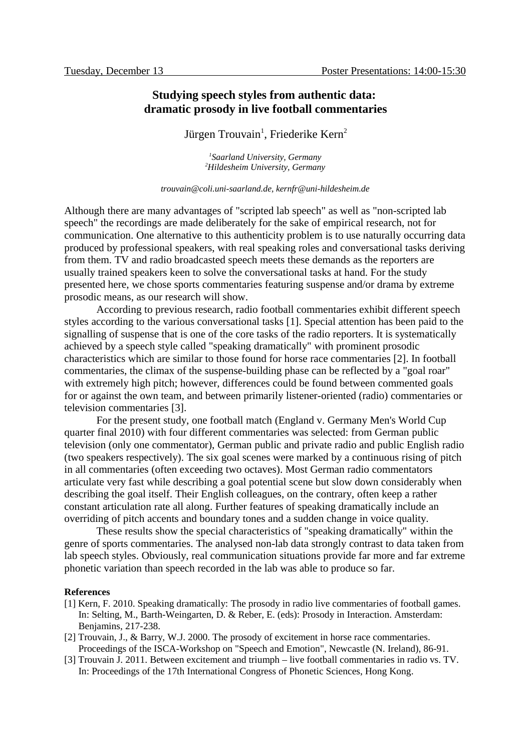# **Studying speech styles from authentic data: dramatic prosody in live football commentaries**

### Jürgen Trouvain $^1$ , Friederike Kern $^2$

*1 Saarland University, Germany <sup>2</sup>Hildesheim University, Germany*

*trouvain@coli.uni-saarland.de, kernfr@uni-hildesheim.de*

Although there are many advantages of "scripted lab speech" as well as "non-scripted lab speech" the recordings are made deliberately for the sake of empirical research, not for communication. One alternative to this authenticity problem is to use naturally occurring data produced by professional speakers, with real speaking roles and conversational tasks deriving from them. TV and radio broadcasted speech meets these demands as the reporters are usually trained speakers keen to solve the conversational tasks at hand. For the study presented here, we chose sports commentaries featuring suspense and/or drama by extreme prosodic means, as our research will show.

According to previous research, radio football commentaries exhibit different speech styles according to the various conversational tasks [1]. Special attention has been paid to the signalling of suspense that is one of the core tasks of the radio reporters. It is systematically achieved by a speech style called "speaking dramatically" with prominent prosodic characteristics which are similar to those found for horse race commentaries [2]. In football commentaries, the climax of the suspense-building phase can be reflected by a "goal roar" with extremely high pitch; however, differences could be found between commented goals for or against the own team, and between primarily listener-oriented (radio) commentaries or television commentaries [3].

For the present study, one football match (England v. Germany Men's World Cup quarter final 2010) with four different commentaries was selected: from German public television (only one commentator), German public and private radio and public English radio (two speakers respectively). The six goal scenes were marked by a continuous rising of pitch in all commentaries (often exceeding two octaves). Most German radio commentators articulate very fast while describing a goal potential scene but slow down considerably when describing the goal itself. Their English colleagues, on the contrary, often keep a rather constant articulation rate all along. Further features of speaking dramatically include an overriding of pitch accents and boundary tones and a sudden change in voice quality.

These results show the special characteristics of "speaking dramatically" within the genre of sports commentaries. The analysed non-lab data strongly contrast to data taken from lab speech styles. Obviously, real communication situations provide far more and far extreme phonetic variation than speech recorded in the lab was able to produce so far.

#### **References**

- [1] Kern, F. 2010. Speaking dramatically: The prosody in radio live commentaries of football games. In: Selting, M., Barth-Weingarten, D. & Reber, E. (eds): Prosody in Interaction. Amsterdam: Benjamins, 217-238.
- [2] Trouvain, J., & Barry, W.J. 2000. The prosody of excitement in horse race commentaries. Proceedings of the ISCA-Workshop on "Speech and Emotion", Newcastle (N. Ireland), 86-91.
- [3] Trouvain J. 2011. Between excitement and triumph live football commentaries in radio vs. TV. In: Proceedings of the 17th International Congress of Phonetic Sciences, Hong Kong.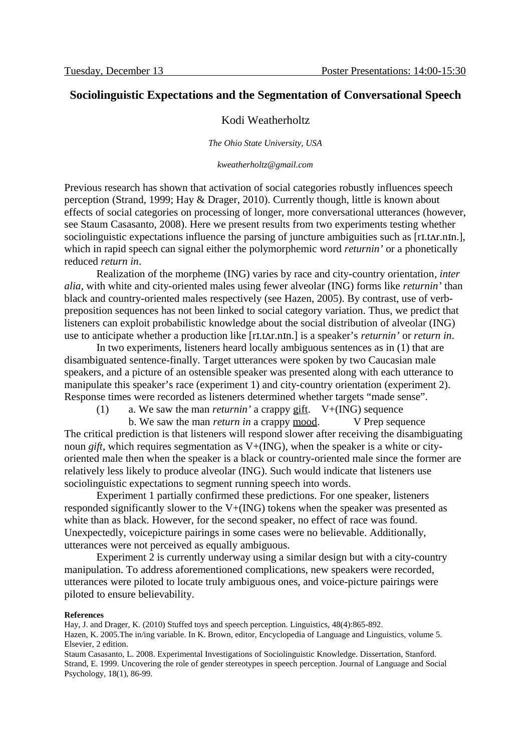# **Sociolinguistic Expectations and the Segmentation of Conversational Speech**

### Kodi Weatherholtz

*The Ohio State University, USA*

*kweatherholtz@gmail.com*

Previous research has shown that activation of social categories robustly influences speech perception (Strand, 1999; Hay & Drager, 2010). Currently though, little is known about effects of social categories on processing of longer, more conversational utterances (however, see Staum Casasanto, 2008). Here we present results from two experiments testing whether sociolinguistic expectations influence the parsing of juncture ambiguities such as [rI.t $\Delta r$ .nIn.], which in rapid speech can signal either the polymorphemic word *returnin'* or a phonetically reduced *return in*.

Realization of the morpheme (ING) varies by race and city-country orientation*, inter alia*, with white and city-oriented males using fewer alveolar (ING) forms like *returnin'* than black and country-oriented males respectively (see Hazen, 2005). By contrast, use of verbpreposition sequences has not been linked to social category variation. Thus, we predict that listeners can exploit probabilistic knowledge about the social distribution of alveolar (ING) use to anticipate whether a production like [rI.tAr.nIn.] is a speaker's *returnin'* or *return in*.

In two experiments, listeners heard locally ambiguous sentences as in (1) that are disambiguated sentence-finally. Target utterances were spoken by two Caucasian male speakers, and a picture of an ostensible speaker was presented along with each utterance to manipulate this speaker's race (experiment 1) and city-country orientation (experiment 2). Response times were recorded as listeners determined whether targets "made sense".

(1) a. We saw the man *returnin'* a crappy gift. V+(ING) sequence

b. We saw the man *return in* a crappy mood. V Prep sequence The critical prediction is that listeners will respond slower after receiving the disambiguating noun *gift*, which requires segmentation as V+(ING), when the speaker is a white or cityoriented male then when the speaker is a black or country-oriented male since the former are relatively less likely to produce alveolar (ING). Such would indicate that listeners use sociolinguistic expectations to segment running speech into words.

Experiment 1 partially confirmed these predictions. For one speaker, listeners responded significantly slower to the  $V^+(ING)$  tokens when the speaker was presented as white than as black. However, for the second speaker, no effect of race was found. Unexpectedly, voicepicture pairings in some cases were no believable. Additionally, utterances were not perceived as equally ambiguous.

Experiment 2 is currently underway using a similar design but with a city-country manipulation. To address aforementioned complications, new speakers were recorded, utterances were piloted to locate truly ambiguous ones, and voice-picture pairings were piloted to ensure believability.

#### **References**

Hay, J. and Drager, K. (2010) Stuffed toys and speech perception. Linguistics, 48(4):865-892.

Hazen, K. 2005.The in/ing variable. In K. Brown, editor, Encyclopedia of Language and Linguistics, volume 5. Elsevier, 2 edition.

Staum Casasanto, L. 2008. Experimental Investigations of Sociolinguistic Knowledge. Dissertation, Stanford. Strand, E. 1999. Uncovering the role of gender stereotypes in speech perception. Journal of Language and Social Psychology, 18(1), 86-99.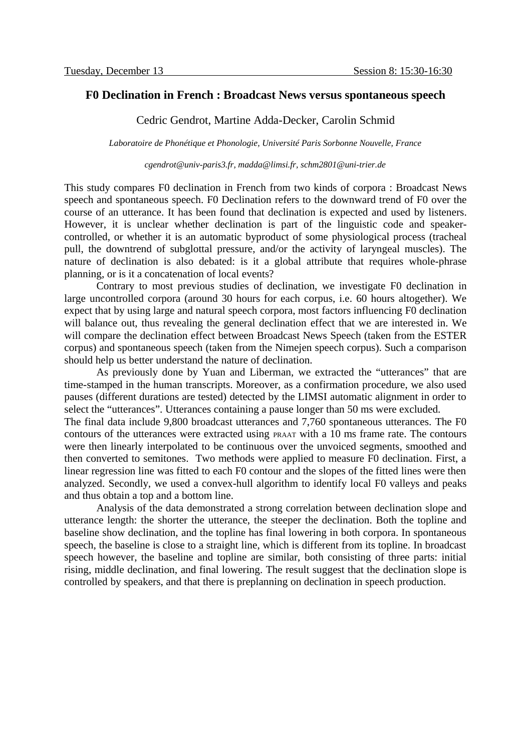### **F0 Declination in French : Broadcast News versus spontaneous speech**

Cedric Gendrot, Martine Adda-Decker, Carolin Schmid

*Laboratoire de Phonétique et Phonologie, Université Paris Sorbonne Nouvelle, France*

*cgendrot@univ-paris3.fr, madda@limsi.fr, schm2801@uni-trier.de*

This study compares F0 declination in French from two kinds of corpora : Broadcast News speech and spontaneous speech. F0 Declination refers to the downward trend of F0 over the course of an utterance. It has been found that declination is expected and used by listeners. However, it is unclear whether declination is part of the linguistic code and speakercontrolled, or whether it is an automatic byproduct of some physiological process (tracheal pull, the downtrend of subglottal pressure, and/or the activity of laryngeal muscles). The nature of declination is also debated: is it a global attribute that requires whole-phrase planning, or is it a concatenation of local events?

Contrary to most previous studies of declination, we investigate F0 declination in large uncontrolled corpora (around 30 hours for each corpus, i.e. 60 hours altogether). We expect that by using large and natural speech corpora, most factors influencing F0 declination will balance out, thus revealing the general declination effect that we are interested in. We will compare the declination effect between Broadcast News Speech (taken from the ESTER corpus) and spontaneous speech (taken from the Nimejen speech corpus). Such a comparison should help us better understand the nature of declination.

As previously done by Yuan and Liberman, we extracted the "utterances" that are time-stamped in the human transcripts. Moreover, as a confirmation procedure, we also used pauses (different durations are tested) detected by the LIMSI automatic alignment in order to select the "utterances". Utterances containing a pause longer than 50 ms were excluded.

The final data include 9,800 broadcast utterances and 7,760 spontaneous utterances. The F0 contours of the utterances were extracted using PRAAT with a 10 ms frame rate. The contours were then linearly interpolated to be continuous over the unvoiced segments, smoothed and then converted to semitones. Two methods were applied to measure F0 declination. First, a linear regression line was fitted to each F0 contour and the slopes of the fitted lines were then analyzed. Secondly, we used a convex-hull algorithm to identify local F0 valleys and peaks and thus obtain a top and a bottom line.

Analysis of the data demonstrated a strong correlation between declination slope and utterance length: the shorter the utterance, the steeper the declination. Both the topline and baseline show declination, and the topline has final lowering in both corpora. In spontaneous speech, the baseline is close to a straight line, which is different from its topline. In broadcast speech however, the baseline and topline are similar, both consisting of three parts: initial rising, middle declination, and final lowering. The result suggest that the declination slope is controlled by speakers, and that there is preplanning on declination in speech production.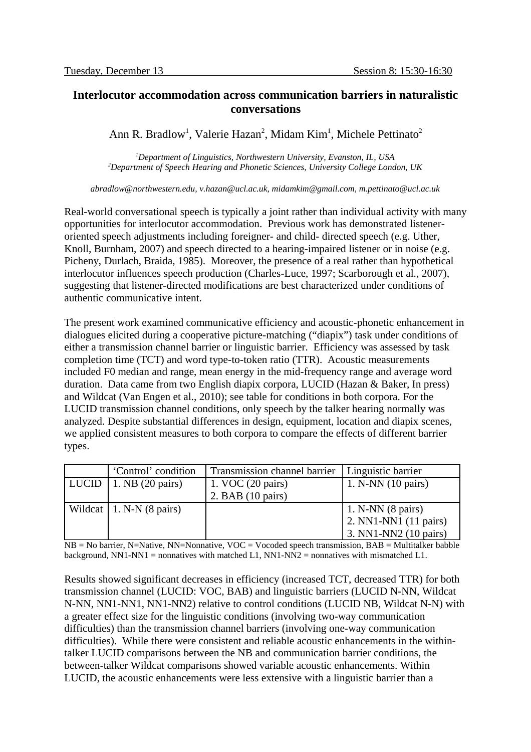# **Interlocutor accommodation across communication barriers in naturalistic conversations**

Ann R. Bradlow<sup>1</sup>, Valerie Hazan<sup>2</sup>, Midam Kim<sup>1</sup>, Michele Pettinato<sup>2</sup>

*<sup>1</sup>Department of Linguistics, Northwestern University, Evanston, IL, USA <sup>2</sup>Department of Speech Hearing and Phonetic Sciences, University College London, UK*

*abradlow@northwestern.edu, v.hazan@ucl.ac.uk, midamkim@gmail.com, m.pettinato@ucl.ac.uk*

Real-world conversational speech is typically a joint rather than individual activity with many opportunities for interlocutor accommodation. Previous work has demonstrated listeneroriented speech adjustments including foreigner- and child- directed speech (e.g. Uther, Knoll, Burnham, 2007) and speech directed to a hearing-impaired listener or in noise (e.g. Picheny, Durlach, Braida, 1985). Moreover, the presence of a real rather than hypothetical interlocutor influences speech production (Charles-Luce, 1997; Scarborough et al., 2007), suggesting that listener-directed modifications are best characterized under conditions of authentic communicative intent.

The present work examined communicative efficiency and acoustic-phonetic enhancement in dialogues elicited during a cooperative picture-matching ("diapix") task under conditions of either a transmission channel barrier or linguistic barrier. Efficiency was assessed by task completion time (TCT) and word type-to-token ratio (TTR). Acoustic measurements included F0 median and range, mean energy in the mid-frequency range and average word duration. Data came from two English diapix corpora, LUCID (Hazan & Baker, In press) and Wildcat (Van Engen et al., 2010); see table for conditions in both corpora. For the LUCID transmission channel conditions, only speech by the talker hearing normally was analyzed. Despite substantial differences in design, equipment, location and diapix scenes, we applied consistent measures to both corpora to compare the effects of different barrier types.

| 'Control' condition              | Transmission channel barrier | Linguistic barrier          |  |  |
|----------------------------------|------------------------------|-----------------------------|--|--|
| LUCID   1. NB (20 pairs)         | 1. VOC (20 pairs)            | 1. N-NN (10 pairs)          |  |  |
|                                  | 2. BAB $(10 \text{ pairs})$  |                             |  |  |
| Wildcat $\vert$ 1. N-N (8 pairs) |                              | 1. N-NN $(8 \text{ pairs})$ |  |  |
|                                  |                              | 2. NN1-NN1 (11 pairs)       |  |  |
|                                  |                              | 3. NN1-NN2 (10 pairs)       |  |  |

NB = No barrier, N=Native, NN=Nonnative, VOC = Vocoded speech transmission, BAB = Multitalker babble background,  $NN1-NN1 =$  nonnatives with matched L1,  $NN1-NN2 =$  nonnatives with mismatched L1.

Results showed significant decreases in efficiency (increased TCT, decreased TTR) for both transmission channel (LUCID: VOC, BAB) and linguistic barriers (LUCID N-NN, Wildcat N-NN, NN1-NN1, NN1-NN2) relative to control conditions (LUCID NB, Wildcat N-N) with a greater effect size for the linguistic conditions (involving two-way communication difficulties) than the transmission channel barriers (involving one-way communication difficulties). While there were consistent and reliable acoustic enhancements in the withintalker LUCID comparisons between the NB and communication barrier conditions, the between-talker Wildcat comparisons showed variable acoustic enhancements. Within LUCID, the acoustic enhancements were less extensive with a linguistic barrier than a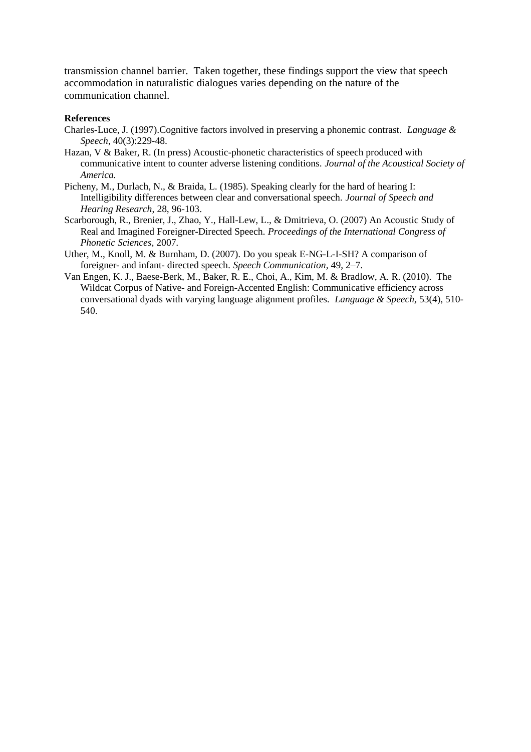transmission channel barrier. Taken together, these findings support the view that speech accommodation in naturalistic dialogues varies depending on the nature of the communication channel.

#### **References**

- Charles-Luce, J. (1997).Cognitive factors involved in preserving a phonemic contrast. *Language & Speech*, 40(3):229-48.
- Hazan, V & Baker, R. (In press) Acoustic-phonetic characteristics of speech produced with communicative intent to counter adverse listening conditions. *Journal of the Acoustical Society of America.*
- Picheny, M., Durlach, N., & Braida, L. (1985). Speaking clearly for the hard of hearing I: Intelligibility differences between clear and conversational speech. *Journal of Speech and Hearing Research*, 28, 96-103.
- Scarborough, R., Brenier, J., Zhao, Y., Hall-Lew, L., & Dmitrieva, O. (2007) An Acoustic Study of Real and Imagined Foreigner-Directed Speech. *Proceedings of the International Congress of Phonetic Sciences*, 2007.
- Uther, M., Knoll, M. & Burnham, D. (2007). Do you speak E-NG-L-I-SH? A comparison of foreigner- and infant- directed speech. *Speech Communication*, 49, 2–7.
- Van Engen, K. J., Baese-Berk, M., Baker, R. E., Choi, A., Kim, M. & Bradlow, A. R. (2010). The Wildcat Corpus of Native- and Foreign-Accented English: Communicative efficiency across conversational dyads with varying language alignment profiles. *Language & Speech,* 53(4), 510- 540.